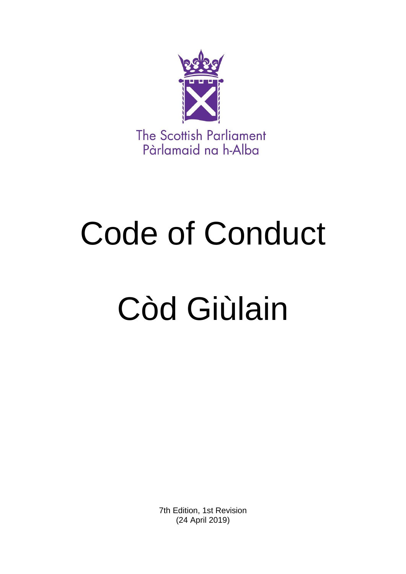

# Code of Conduct

# Còd Giùlain

7th Edition, 1st Revision (24 April 2019)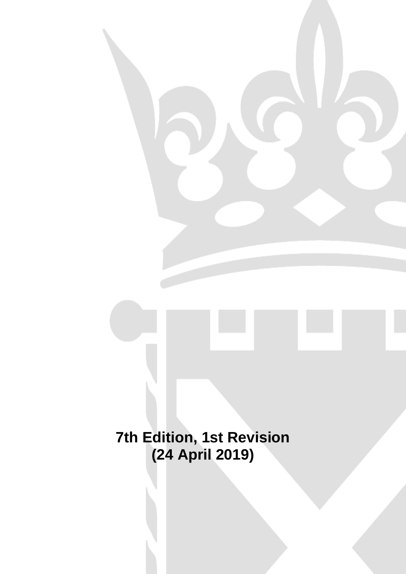**7th Edition, 1st Revision (24 April 2019)**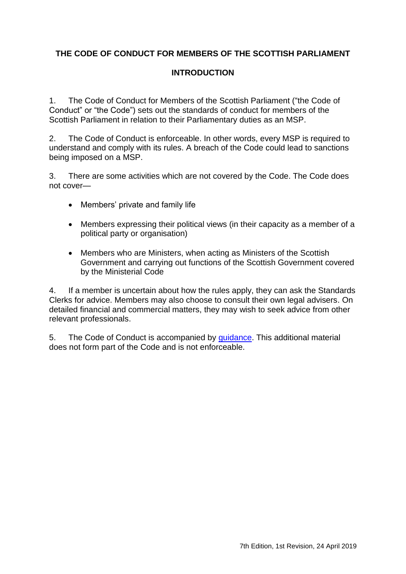# **THE CODE OF CONDUCT FOR MEMBERS OF THE SCOTTISH PARLIAMENT**

# **INTRODUCTION**

1. The Code of Conduct for Members of the Scottish Parliament ("the Code of Conduct" or "the Code") sets out the standards of conduct for members of the Scottish Parliament in relation to their Parliamentary duties as an MSP.

2. The Code of Conduct is enforceable. In other words, every MSP is required to understand and comply with its rules. A breach of the Code could lead to sanctions being imposed on a MSP.

3. There are some activities which are not covered by the Code. The Code does not cover—

- Members' private and family life
- Members expressing their political views (in their capacity as a member of a political party or organisation)
- Members who are Ministers, when acting as Ministers of the Scottish Government and carrying out functions of the Scottish Government covered by the Ministerial Code

4. If a member is uncertain about how the rules apply, they can ask the Standards Clerks for advice. Members may also choose to consult their own legal advisers. On detailed financial and commercial matters, they may wish to seek advice from other relevant professionals.

5. The Code of Conduct is accompanied by [guidance.](http://www.parliament.scot/Parliamentaryprocedureandguidance/CCEd07201708.pdf) This additional material does not form part of the Code and is not enforceable.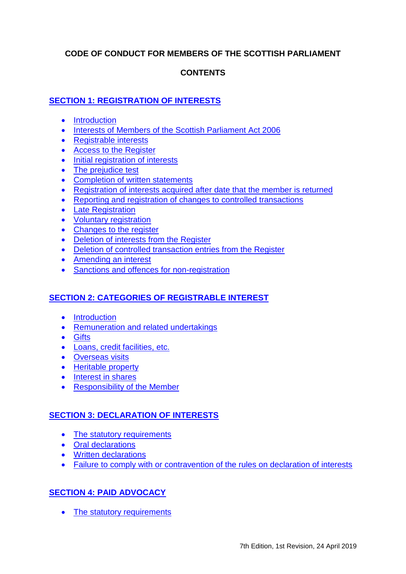# **CODE OF CONDUCT FOR MEMBERS OF THE SCOTTISH PARLIAMENT**

# **CONTENTS**

# **[SECTION 1: REGISTRATION OF INTERESTS](#page-8-0)**

- [Introduction](#page-8-1)
- [Interests of Members of the Scottish Parliament Act 2006](#page-8-2)
- [Registrable interests](#page-8-3)
- [Access to the Register](#page-8-4)
- [Initial registration of interests](#page-9-0)
- [The prejudice test](#page-9-1)
- [Completion of written statements](#page-9-2)
- [Registration of interests acquired after date that the member is returned](#page-10-0)
- [Reporting and registration of changes to controlled transactions](#page-10-1)
- [Late Registration](#page-10-2)
- [Voluntary registration](#page-11-0)
- [Changes to the register](#page-11-1)
- [Deletion of interests from the Register](#page-11-2)
- [Deletion of controlled transaction entries from the Register](#page-12-0)
- [Amending an interest](#page-12-1)
- [Sanctions and offences for non-registration](#page-12-2)

# **[SECTION 2: CATEGORIES OF REGISTRABLE INTEREST](#page-14-0)**

- [Introduction](#page-14-1)
- [Remuneration and related undertakings](#page-14-2)
- **•** [Gifts](#page-18-0)
- [Loans, credit facilities, etc.](#page-24-0)
- **•** [Overseas visits](#page-27-0)
- [Heritable property](#page-29-0)
- [Interest in shares](#page-33-0)
- [Responsibility of the Member](#page-36-0)

# **[SECTION 3: DECLARATION OF INTERESTS](#page-38-0)**

- [The statutory requirements](#page-38-1)
- [Oral declarations](#page-38-2)
- [Written declarations](#page-39-0)
- [Failure to comply with or contravention of the rules on declaration of interests](#page-39-1)

# **[SECTION 4: PAID ADVOCACY](#page-42-0)**

• [The statutory requirements](#page-42-1)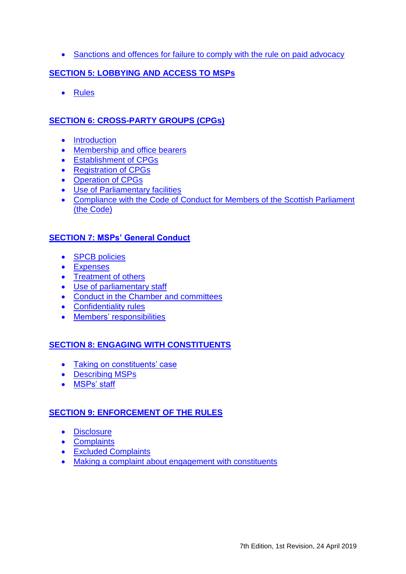• [Sanctions and offences for failure to comply with the rule on paid advocacy](#page-43-0)

# **SECTION 5: LOBBYING [AND ACCESS TO MSPs](#page-44-0)**

• [Rules](#page-44-1)

# **[SECTION 6: CROSS-PARTY GROUPS](#page-46-0) (CPGs)**

- [Introduction](#page-46-1)
- [Membership and office bearers](#page-46-2)
- [Establishment of CPGs](#page-47-0)
- [Registration of CPGs](#page-47-1)
- [Operation of CPGs](#page-48-0)
- [Use of Parliamentary facilities](#page-50-0)
- [Compliance with the Code of Conduct for Members of the Scottish Parliament](#page-51-0)  [\(the Code\)](#page-51-0)

# **[SECTION 7: MSPs' General Conduct](#page-52-0)**

- **SPCB** policies
- [Expenses](#page-52-2)
- [Treatment of others](#page-52-3)
- [Use of parliamentary staff](#page-52-4)
- [Conduct in the Chamber and](#page-52-5) committees
- [Confidentiality rules](#page-53-0)
- [Members'](#page-54-0) responsibilities

# **[SECTION 8: ENGAGING](#page-56-0) WITH CONSTITUENTS**

- [Taking on constituents' case](#page-56-1)
- [Describing MSPs](#page-56-2)
- [MSPs' staff](#page-57-0)

# **[SECTION 9: ENFORCEMENT OF THE RULES](#page-58-0)**

- [Disclosure](#page-58-1)
- [Complaints](#page-58-2)
- [Excluded Complaints](#page-58-3)
- [Making a complaint about engagement with constituents](#page-59-0)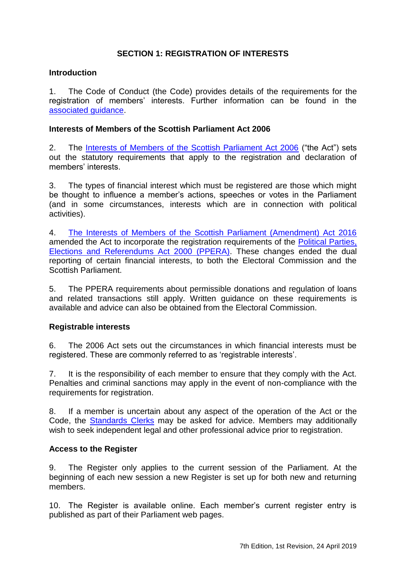# **SECTION 1: REGISTRATION OF INTERESTS**

#### <span id="page-8-1"></span><span id="page-8-0"></span>**Introduction**

1. The Code of Conduct (the Code) provides details of the requirements for the registration of members' interests. Further information can be found in the [associated guidance.](http://www.parliament.scot/Parliamentaryprocedureandguidance/CoC7.0GuidanceCombined.pdf)

#### <span id="page-8-2"></span>**Interests of Members of the Scottish Parliament Act 2006**

2. The [Interests of Members of the Scottish Parliament Act 2006](http://www.legislation.gov.uk/asp/2006/12/contents) ("the Act") sets out the statutory requirements that apply to the registration and declaration of members' interests.

3. The types of financial interest which must be registered are those which might be thought to influence a member's actions, speeches or votes in the Parliament (and in some circumstances, interests which are in connection with political activities).

4. [The Interests of Members of the Scottish Parliament \(Amendment\) Act 2016](http://www.legislation.gov.uk/asp/2016/4/contents) amended the Act to incorporate the registration requirements of the [Political Parties,](http://www.legislation.gov.uk/ukpga/2000/41/contents)  [Elections and Referendums Act 2000 \(PPERA\).](http://www.legislation.gov.uk/ukpga/2000/41/contents) These changes ended the dual reporting of certain financial interests, to both the Electoral Commission and the Scottish Parliament.

5. The PPERA requirements about permissible donations and regulation of loans and related transactions still apply. Written guidance on these requirements is available and advice can also be obtained from the Electoral Commission.

## <span id="page-8-3"></span>**Registrable interests**

6. The 2006 Act sets out the circumstances in which financial interests must be registered. These are commonly referred to as 'registrable interests'.

7. It is the responsibility of each member to ensure that they comply with the Act. Penalties and criminal sanctions may apply in the event of non-compliance with the requirements for registration.

8. If a member is uncertain about any aspect of the operation of the Act or the Code, the [Standards Clerks](mailto:standards.Clerks@parliament.scot) may be asked for advice. Members may additionally wish to seek independent legal and other professional advice prior to registration.

#### <span id="page-8-4"></span>**Access to the Register**

9. The Register only applies to the current session of the Parliament. At the beginning of each new session a new Register is set up for both new and returning members.

10. The Register is available online. Each member's current register entry is published as part of their Parliament web pages.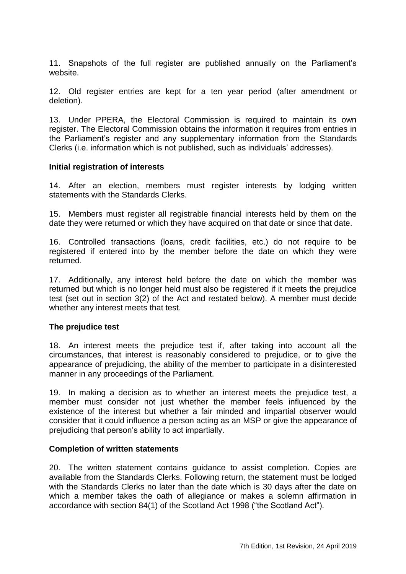11. Snapshots of the full register are published annually on the Parliament's website.

12. Old register entries are kept for a ten year period (after amendment or deletion).

13. Under PPERA, the Electoral Commission is required to maintain its own register. The Electoral Commission obtains the information it requires from entries in the Parliament's register and any supplementary information from the Standards Clerks (i.e. information which is not published, such as individuals' addresses).

#### <span id="page-9-0"></span>**Initial registration of interests**

14. After an election, members must register interests by lodging written statements with the Standards Clerks.

15. Members must register all registrable financial interests held by them on the date they were returned or which they have acquired on that date or since that date.

16. Controlled transactions (loans, credit facilities, etc.) do not require to be registered if entered into by the member before the date on which they were returned.

17. Additionally, any interest held before the date on which the member was returned but which is no longer held must also be registered if it meets the prejudice test (set out in section 3(2) of the Act and restated below). A member must decide whether any interest meets that test.

## <span id="page-9-1"></span>**The prejudice test**

18. An interest meets the prejudice test if, after taking into account all the circumstances, that interest is reasonably considered to prejudice, or to give the appearance of prejudicing, the ability of the member to participate in a disinterested manner in any proceedings of the Parliament.

19. In making a decision as to whether an interest meets the prejudice test, a member must consider not just whether the member feels influenced by the existence of the interest but whether a fair minded and impartial observer would consider that it could influence a person acting as an MSP or give the appearance of prejudicing that person's ability to act impartially.

#### <span id="page-9-2"></span>**Completion of written statements**

20. The written statement contains guidance to assist completion. Copies are available from the Standards Clerks. Following return, the statement must be lodged with the Standards Clerks no later than the date which is 30 days after the date on which a member takes the oath of allegiance or makes a solemn affirmation in accordance with section 84(1) of the Scotland Act 1998 ("the Scotland Act").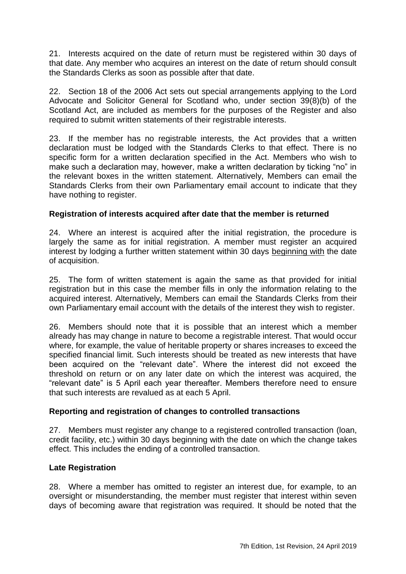21. Interests acquired on the date of return must be registered within 30 days of that date. Any member who acquires an interest on the date of return should consult the Standards Clerks as soon as possible after that date.

22. Section 18 of the 2006 Act sets out special arrangements applying to the Lord Advocate and Solicitor General for Scotland who, under section 39(8)(b) of the Scotland Act, are included as members for the purposes of the Register and also required to submit written statements of their registrable interests.

23. If the member has no registrable interests, the Act provides that a written declaration must be lodged with the Standards Clerks to that effect. There is no specific form for a written declaration specified in the Act. Members who wish to make such a declaration may, however, make a written declaration by ticking "no" in the relevant boxes in the written statement. Alternatively, Members can email the Standards Clerks from their own Parliamentary email account to indicate that they have nothing to register.

# <span id="page-10-0"></span>**Registration of interests acquired after date that the member is returned**

24. Where an interest is acquired after the initial registration, the procedure is largely the same as for initial registration. A member must register an acquired interest by lodging a further written statement within 30 days beginning with the date of acquisition.

25. The form of written statement is again the same as that provided for initial registration but in this case the member fills in only the information relating to the acquired interest. Alternatively, Members can email the Standards Clerks from their own Parliamentary email account with the details of the interest they wish to register.

26. Members should note that it is possible that an interest which a member already has may change in nature to become a registrable interest. That would occur where, for example, the value of heritable property or shares increases to exceed the specified financial limit. Such interests should be treated as new interests that have been acquired on the "relevant date". Where the interest did not exceed the threshold on return or on any later date on which the interest was acquired, the ―relevant date‖ is 5 April each year thereafter. Members therefore need to ensure that such interests are revalued as at each 5 April.

## <span id="page-10-1"></span>**Reporting and registration of changes to controlled transactions**

27. Members must register any change to a registered controlled transaction (loan, credit facility, etc.) within 30 days beginning with the date on which the change takes effect. This includes the ending of a controlled transaction.

## <span id="page-10-2"></span>**Late Registration**

28. Where a member has omitted to register an interest due, for example, to an oversight or misunderstanding, the member must register that interest within seven days of becoming aware that registration was required. It should be noted that the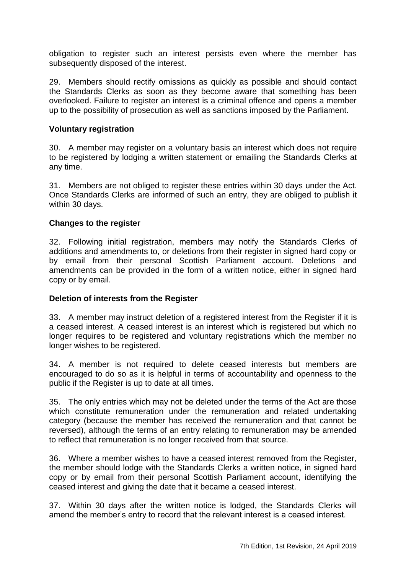obligation to register such an interest persists even where the member has subsequently disposed of the interest.

29. Members should rectify omissions as quickly as possible and should contact the Standards Clerks as soon as they become aware that something has been overlooked. Failure to register an interest is a criminal offence and opens a member up to the possibility of prosecution as well as sanctions imposed by the Parliament.

#### <span id="page-11-0"></span>**Voluntary registration**

30. A member may register on a voluntary basis an interest which does not require to be registered by lodging a written statement or emailing the Standards Clerks at any time.

31. Members are not obliged to register these entries within 30 days under the Act. Once Standards Clerks are informed of such an entry, they are obliged to publish it within 30 days.

#### <span id="page-11-1"></span>**Changes to the register**

32. Following initial registration, members may notify the Standards Clerks of additions and amendments to, or deletions from their register in signed hard copy or by email from their personal Scottish Parliament account. Deletions and amendments can be provided in the form of a written notice, either in signed hard copy or by email.

## <span id="page-11-2"></span>**Deletion of interests from the Register**

33. A member may instruct deletion of a registered interest from the Register if it is a ceased interest. A ceased interest is an interest which is registered but which no longer requires to be registered and voluntary registrations which the member no longer wishes to be registered.

34. A member is not required to delete ceased interests but members are encouraged to do so as it is helpful in terms of accountability and openness to the public if the Register is up to date at all times.

35. The only entries which may not be deleted under the terms of the Act are those which constitute remuneration under the remuneration and related undertaking category (because the member has received the remuneration and that cannot be reversed), although the terms of an entry relating to remuneration may be amended to reflect that remuneration is no longer received from that source.

36. Where a member wishes to have a ceased interest removed from the Register, the member should lodge with the Standards Clerks a written notice, in signed hard copy or by email from their personal Scottish Parliament account, identifying the ceased interest and giving the date that it became a ceased interest.

37. Within 30 days after the written notice is lodged, the Standards Clerks will amend the member's entry to record that the relevant interest is a ceased interest.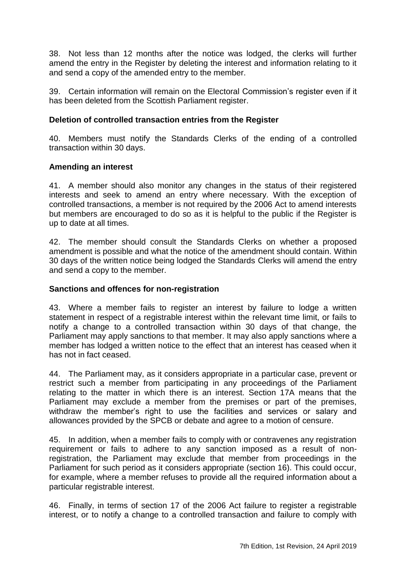38. Not less than 12 months after the notice was lodged, the clerks will further amend the entry in the Register by deleting the interest and information relating to it and send a copy of the amended entry to the member.

39. Certain information will remain on the Electoral Commission's register even if it has been deleted from the Scottish Parliament register.

# <span id="page-12-0"></span>**Deletion of controlled transaction entries from the Register**

40. Members must notify the Standards Clerks of the ending of a controlled transaction within 30 days.

# <span id="page-12-1"></span>**Amending an interest**

41. A member should also monitor any changes in the status of their registered interests and seek to amend an entry where necessary. With the exception of controlled transactions, a member is not required by the 2006 Act to amend interests but members are encouraged to do so as it is helpful to the public if the Register is up to date at all times.

42. The member should consult the Standards Clerks on whether a proposed amendment is possible and what the notice of the amendment should contain. Within 30 days of the written notice being lodged the Standards Clerks will amend the entry and send a copy to the member.

## <span id="page-12-2"></span>**Sanctions and offences for non-registration**

43. Where a member fails to register an interest by failure to lodge a written statement in respect of a registrable interest within the relevant time limit, or fails to notify a change to a controlled transaction within 30 days of that change, the Parliament may apply sanctions to that member. It may also apply sanctions where a member has lodged a written notice to the effect that an interest has ceased when it has not in fact ceased.

44. The Parliament may, as it considers appropriate in a particular case, prevent or restrict such a member from participating in any proceedings of the Parliament relating to the matter in which there is an interest. Section 17A means that the Parliament may exclude a member from the premises or part of the premises, withdraw the member's right to use the facilities and services or salary and allowances provided by the SPCB or debate and agree to a motion of censure.

45. In addition, when a member fails to comply with or contravenes any registration requirement or fails to adhere to any sanction imposed as a result of nonregistration, the Parliament may exclude that member from proceedings in the Parliament for such period as it considers appropriate (section 16). This could occur, for example, where a member refuses to provide all the required information about a particular registrable interest.

46. Finally, in terms of section 17 of the 2006 Act failure to register a registrable interest, or to notify a change to a controlled transaction and failure to comply with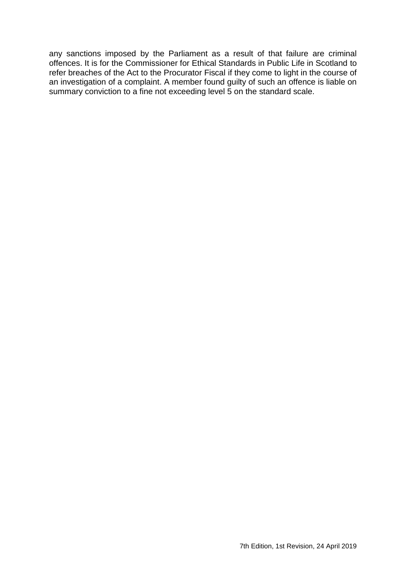any sanctions imposed by the Parliament as a result of that failure are criminal offences. It is for the Commissioner for Ethical Standards in Public Life in Scotland to refer breaches of the Act to the Procurator Fiscal if they come to light in the course of an investigation of a complaint. A member found guilty of such an offence is liable on summary conviction to a fine not exceeding level 5 on the standard scale.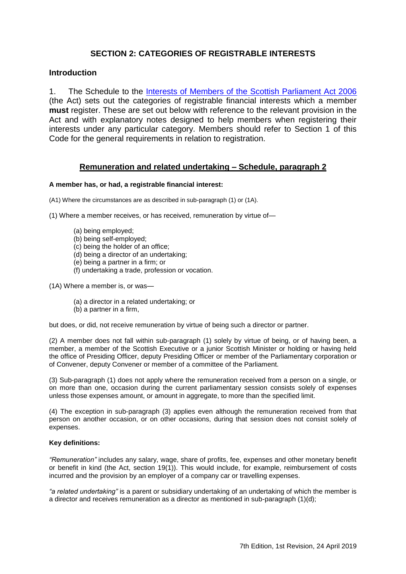# **SECTION 2: CATEGORIES OF REGISTRABLE INTERESTS**

#### <span id="page-14-1"></span><span id="page-14-0"></span>**Introduction**

1. The Schedule to the [Interests of Members of the Scottish Parliament Act 2006](http://www.legislation.gov.uk/asp/2006/12/contents) (the Act) sets out the categories of registrable financial interests which a member **must** register. These are set out below with reference to the relevant provision in the Act and with explanatory notes designed to help members when registering their interests under any particular category. Members should refer to Section 1 of this Code for the general requirements in relation to registration.

#### **Remuneration and related undertaking – Schedule, paragraph 2**

#### <span id="page-14-2"></span>**A member has, or had, a registrable financial interest:**

(A1) Where the circumstances are as described in sub-paragraph (1) or (1A).

(1) Where a member receives, or has received, remuneration by virtue of—

- (a) being employed;
- (b) being self-employed;
- (c) being the holder of an office;
- (d) being a director of an undertaking;
- (e) being a partner in a firm; or
- (f) undertaking a trade, profession or vocation.

(1A) Where a member is, or was—

- (a) a director in a related undertaking; or
- (b) a partner in a firm,

but does, or did, not receive remuneration by virtue of being such a director or partner.

(2) A member does not fall within sub-paragraph (1) solely by virtue of being, or of having been, a member, a member of the Scottish Executive or a junior Scottish Minister or holding or having held the office of Presiding Officer, deputy Presiding Officer or member of the Parliamentary corporation or of Convener, deputy Convener or member of a committee of the Parliament.

(3) Sub-paragraph (1) does not apply where the remuneration received from a person on a single, or on more than one, occasion during the current parliamentary session consists solely of expenses unless those expenses amount, or amount in aggregate, to more than the specified limit.

(4) The exception in sub-paragraph (3) applies even although the remuneration received from that person on another occasion, or on other occasions, during that session does not consist solely of expenses.

#### **Key definitions:**

*―Remuneration‖* includes any salary, wage, share of profits, fee, expenses and other monetary benefit or benefit in kind (the Act, section 19(1)). This would include, for example, reimbursement of costs incurred and the provision by an employer of a company car or travelling expenses.

*―a related undertaking‖* is a parent or subsidiary undertaking of an undertaking of which the member is a director and receives remuneration as a director as mentioned in sub-paragraph (1)(d);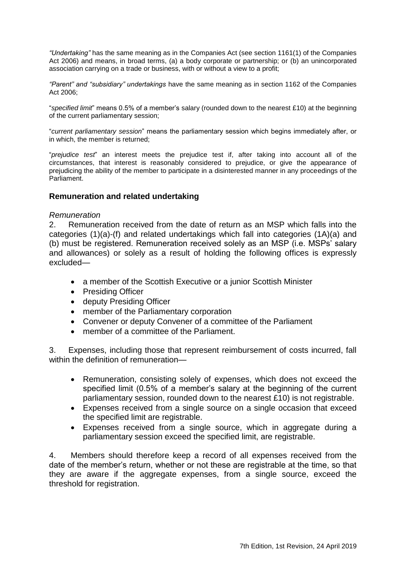*―Undertaking‖* has the same meaning as in the Companies Act (see section 1161(1) of the Companies Act 2006) and means, in broad terms, (a) a body corporate or partnership; or (b) an unincorporated association carrying on a trade or business, with or without a view to a profit;

*―Parent‖ and ―subsidiary‖ undertakings* have the same meaning as in section 1162 of the Companies Act 2006;

―*specified limit*‖ means 0.5% of a member's salary (rounded down to the nearest £10) at the beginning of the current parliamentary session;

―*current parliamentary session*‖ means the parliamentary session which begins immediately after, or in which, the member is returned;

―*prejudice test*‖ an interest meets the prejudice test if, after taking into account all of the circumstances, that interest is reasonably considered to prejudice, or give the appearance of prejudicing the ability of the member to participate in a disinterested manner in any proceedings of the Parliament.

#### **Remuneration and related undertaking**

#### *Remuneration*

2. Remuneration received from the date of return as an MSP which falls into the categories (1)(a)-(f) and related undertakings which fall into categories (1A)(a) and (b) must be registered. Remuneration received solely as an MSP (i.e. MSPs' salary and allowances) or solely as a result of holding the following offices is expressly excluded—

- a member of the Scottish Executive or a junior Scottish Minister
- Presiding Officer
- deputy Presiding Officer
- member of the Parliamentary corporation
- Convener or deputy Convener of a committee of the Parliament
- member of a committee of the Parliament.

3. Expenses, including those that represent reimbursement of costs incurred, fall within the definition of remuneration—

- Remuneration, consisting solely of expenses, which does not exceed the specified limit (0.5% of a member's salary at the beginning of the current parliamentary session, rounded down to the nearest £10) is not registrable.
- Expenses received from a single source on a single occasion that exceed the specified limit are registrable.
- Expenses received from a single source, which in aggregate during a parliamentary session exceed the specified limit, are registrable.

4. Members should therefore keep a record of all expenses received from the date of the member's return, whether or not these are registrable at the time, so that they are aware if the aggregate expenses, from a single source, exceed the threshold for registration.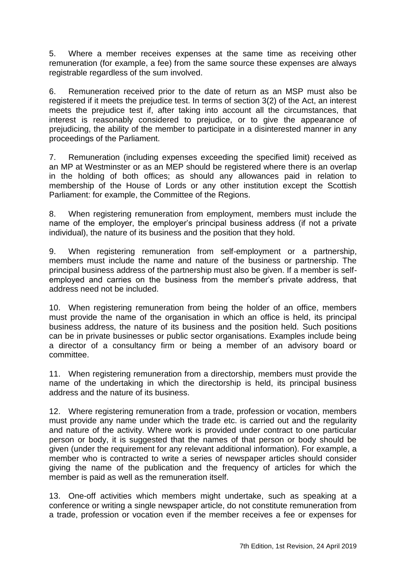5. Where a member receives expenses at the same time as receiving other remuneration (for example, a fee) from the same source these expenses are always registrable regardless of the sum involved.

6. Remuneration received prior to the date of return as an MSP must also be registered if it meets the prejudice test. In terms of section 3(2) of the Act, an interest meets the prejudice test if, after taking into account all the circumstances, that interest is reasonably considered to prejudice, or to give the appearance of prejudicing, the ability of the member to participate in a disinterested manner in any proceedings of the Parliament.

7. Remuneration (including expenses exceeding the specified limit) received as an MP at Westminster or as an MEP should be registered where there is an overlap in the holding of both offices; as should any allowances paid in relation to membership of the House of Lords or any other institution except the Scottish Parliament: for example, the Committee of the Regions.

8. When registering remuneration from employment, members must include the name of the employer, the employer's principal business address (if not a private individual), the nature of its business and the position that they hold.

9. When registering remuneration from self-employment or a partnership, members must include the name and nature of the business or partnership. The principal business address of the partnership must also be given. If a member is selfemployed and carries on the business from the member's private address, that address need not be included.

10. When registering remuneration from being the holder of an office, members must provide the name of the organisation in which an office is held, its principal business address, the nature of its business and the position held. Such positions can be in private businesses or public sector organisations. Examples include being a director of a consultancy firm or being a member of an advisory board or committee.

11. When registering remuneration from a directorship, members must provide the name of the undertaking in which the directorship is held, its principal business address and the nature of its business.

12. Where registering remuneration from a trade, profession or vocation, members must provide any name under which the trade etc. is carried out and the regularity and nature of the activity. Where work is provided under contract to one particular person or body, it is suggested that the names of that person or body should be given (under the requirement for any relevant additional information). For example, a member who is contracted to write a series of newspaper articles should consider giving the name of the publication and the frequency of articles for which the member is paid as well as the remuneration itself.

13. One-off activities which members might undertake, such as speaking at a conference or writing a single newspaper article, do not constitute remuneration from a trade, profession or vocation even if the member receives a fee or expenses for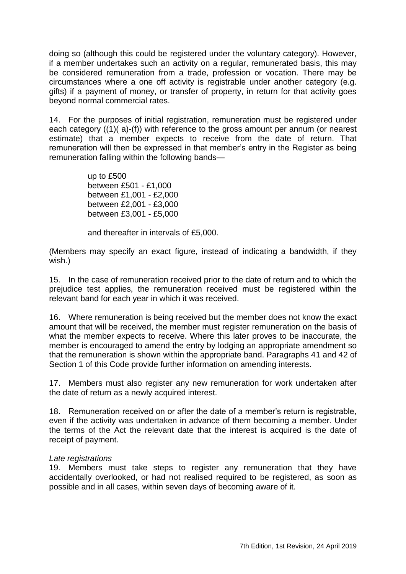doing so (although this could be registered under the voluntary category). However, if a member undertakes such an activity on a regular, remunerated basis, this may be considered remuneration from a trade, profession or vocation. There may be circumstances where a one off activity is registrable under another category (e.g. gifts) if a payment of money, or transfer of property, in return for that activity goes beyond normal commercial rates.

14. For the purposes of initial registration, remuneration must be registered under each category ((1)( a)-(f)) with reference to the gross amount per annum (or nearest estimate) that a member expects to receive from the date of return. That remuneration will then be expressed in that member's entry in the Register as being remuneration falling within the following bands—

> up to £500 between £501 - £1,000 between £1,001 - £2,000 between £2,001 - £3,000 between £3,001 - £5,000

and thereafter in intervals of £5,000.

(Members may specify an exact figure, instead of indicating a bandwidth, if they wish.)

15. In the case of remuneration received prior to the date of return and to which the prejudice test applies, the remuneration received must be registered within the relevant band for each year in which it was received.

16. Where remuneration is being received but the member does not know the exact amount that will be received, the member must register remuneration on the basis of what the member expects to receive. Where this later proves to be inaccurate, the member is encouraged to amend the entry by lodging an appropriate amendment so that the remuneration is shown within the appropriate band. Paragraphs 41 and 42 of Section 1 of this Code provide further information on amending interests.

17. Members must also register any new remuneration for work undertaken after the date of return as a newly acquired interest.

18. Remuneration received on or after the date of a member's return is registrable, even if the activity was undertaken in advance of them becoming a member. Under the terms of the Act the relevant date that the interest is acquired is the date of receipt of payment.

## *Late registrations*

19. Members must take steps to register any remuneration that they have accidentally overlooked, or had not realised required to be registered, as soon as possible and in all cases, within seven days of becoming aware of it.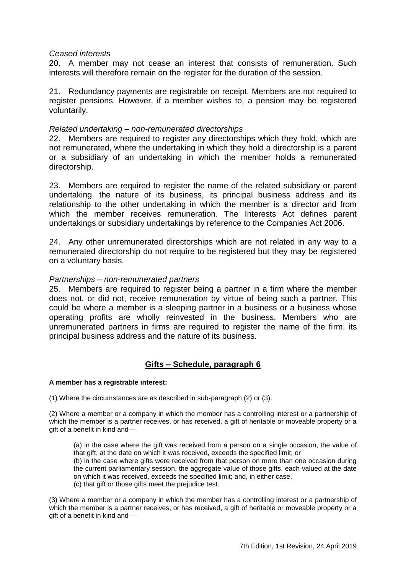#### *Ceased interests*

20. A member may not cease an interest that consists of remuneration. Such interests will therefore remain on the register for the duration of the session.

21. Redundancy payments are registrable on receipt. Members are not required to register pensions. However, if a member wishes to, a pension may be registered voluntarily.

#### *Related undertaking – non-remunerated directorships*

22. Members are required to register any directorships which they hold, which are not remunerated, where the undertaking in which they hold a directorship is a parent or a subsidiary of an undertaking in which the member holds a remunerated directorship.

23. Members are required to register the name of the related subsidiary or parent undertaking, the nature of its business, its principal business address and its relationship to the other undertaking in which the member is a director and from which the member receives remuneration. The Interests Act defines parent undertakings or subsidiary undertakings by reference to the Companies Act 2006.

24. Any other unremunerated directorships which are not related in any way to a remunerated directorship do not require to be registered but they may be registered on a voluntary basis.

#### *Partnerships – non-remunerated partners*

25. Members are required to register being a partner in a firm where the member does not, or did not, receive remuneration by virtue of being such a partner. This could be where a member is a sleeping partner in a business or a business whose operating profits are wholly reinvested in the business. Members who are unremunerated partners in firms are required to register the name of the firm, its principal business address and the nature of its business.

## **Gifts – Schedule, paragraph 6**

#### <span id="page-18-0"></span>**A member has a registrable interest:**

(1) Where the circumstances are as described in sub-paragraph (2) or (3).

(2) Where a member or a company in which the member has a controlling interest or a partnership of which the member is a partner receives, or has received, a gift of heritable or moveable property or a gift of a benefit in kind and—

(a) in the case where the gift was received from a person on a single occasion, the value of that gift, at the date on which it was received, exceeds the specified limit; or

(b) in the case where gifts were received from that person on more than one occasion during the current parliamentary session, the aggregate value of those gifts, each valued at the date on which it was received, exceeds the specified limit; and, in either case,

(c) that gift or those gifts meet the prejudice test.

(3) Where a member or a company in which the member has a controlling interest or a partnership of which the member is a partner receives, or has received, a gift of heritable or moveable property or a gift of a benefit in kind and—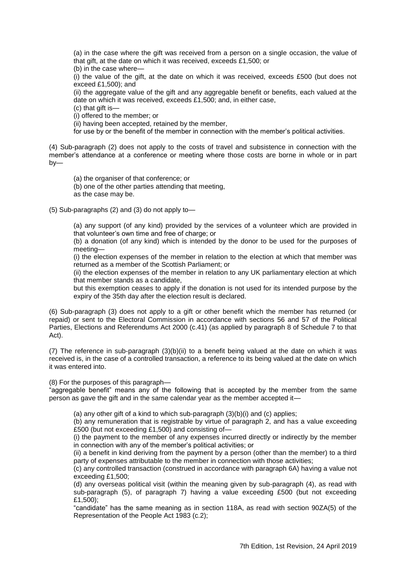(a) in the case where the gift was received from a person on a single occasion, the value of that gift, at the date on which it was received, exceeds £1,500; or

(b) in the case where—

(i) the value of the gift, at the date on which it was received, exceeds £500 (but does not exceed £1,500); and

(ii) the aggregate value of the gift and any aggregable benefit or benefits, each valued at the date on which it was received, exceeds £1,500; and, in either case,

(c) that gift is—

(i) offered to the member; or

(ii) having been accepted, retained by the member,

for use by or the benefit of the member in connection with the member's political activities.

(4) Sub-paragraph (2) does not apply to the costs of travel and subsistence in connection with the member's attendance at a conference or meeting where those costs are borne in whole or in part by—

(a) the organiser of that conference; or

(b) one of the other parties attending that meeting,

as the case may be.

(5) Sub-paragraphs (2) and (3) do not apply to—

(a) any support (of any kind) provided by the services of a volunteer which are provided in that volunteer's own time and free of charge; or

(b) a donation (of any kind) which is intended by the donor to be used for the purposes of meeting—

(i) the election expenses of the member in relation to the election at which that member was returned as a member of the Scottish Parliament; or

(ii) the election expenses of the member in relation to any UK parliamentary election at which that member stands as a candidate,

but this exemption ceases to apply if the donation is not used for its intended purpose by the expiry of the 35th day after the election result is declared.

(6) Sub-paragraph (3) does not apply to a gift or other benefit which the member has returned (or repaid) or sent to the Electoral Commission in accordance with sections 56 and 57 of the Political Parties, Elections and Referendums Act 2000 (c.41) (as applied by paragraph 8 of Schedule 7 to that Act).

(7) The reference in sub-paragraph (3)(b)(ii) to a benefit being valued at the date on which it was received is, in the case of a controlled transaction, a reference to its being valued at the date on which it was entered into.

#### (8) For the purposes of this paragraph—

"aggregable benefit" means any of the following that is accepted by the member from the same person as gave the gift and in the same calendar year as the member accepted it—

(a) any other gift of a kind to which sub-paragraph (3)(b)(i) and (c) applies;

(b) any remuneration that is registrable by virtue of paragraph 2, and has a value exceeding £500 (but not exceeding £1,500) and consisting of—

(i) the payment to the member of any expenses incurred directly or indirectly by the member in connection with any of the member's political activities; or

(ii) a benefit in kind deriving from the payment by a person (other than the member) to a third party of expenses attributable to the member in connection with those activities;

(c) any controlled transaction (construed in accordance with paragraph 6A) having a value not exceeding £1,500;

(d) any overseas political visit (within the meaning given by sub-paragraph (4), as read with sub-paragraph  $(5)$ , of paragraph 7) having a value exceeding £500 (but not exceeding £1,500);

―candidate‖ has the same meaning as in section 118A, as read with section 90ZA(5) of the Representation of the People Act 1983 (c.2);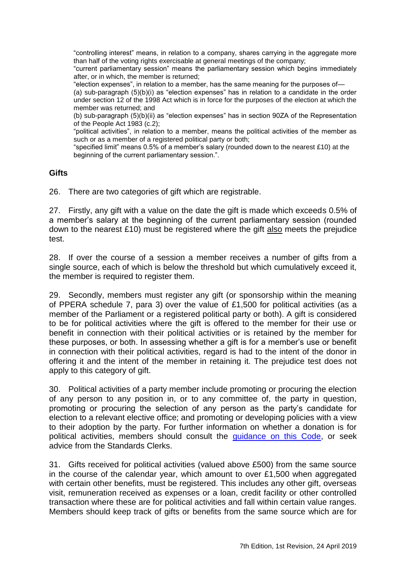―controlling interest‖ means, in relation to a company, shares carrying in the aggregate more than half of the voting rights exercisable at general meetings of the company;

―current parliamentary session‖ means the parliamentary session which begins immediately after, or in which, the member is returned;

"election expenses", in relation to a member, has the same meaning for the purposes of-

(a) sub-paragraph  $(5)(b)(i)$  as "election expenses" has in relation to a candidate in the order under section 12 of the 1998 Act which is in force for the purposes of the election at which the member was returned; and

(b) sub-paragraph  $(5)(b)(ii)$  as "election expenses" has in section 90ZA of the Representation of the People Act 1983 (c.2);

"political activities", in relation to a member, means the political activities of the member as such or as a member of a registered political party or both;

"specified limit" means 0.5% of a member's salary (rounded down to the nearest £10) at the beginning of the current parliamentary session.".

## **Gifts**

26. There are two categories of gift which are registrable.

27. Firstly, any gift with a value on the date the gift is made which exceeds 0.5% of a member's salary at the beginning of the current parliamentary session (rounded down to the nearest £10) must be registered where the gift also meets the prejudice test.

28. If over the course of a session a member receives a number of gifts from a single source, each of which is below the threshold but which cumulatively exceed it, the member is required to register them.

29. Secondly, members must register any gift (or sponsorship within the meaning of PPERA schedule 7, para 3) over the value of £1,500 for political activities (as a member of the Parliament or a registered political party or both). A gift is considered to be for political activities where the gift is offered to the member for their use or benefit in connection with their political activities or is retained by the member for these purposes, or both. In assessing whether a gift is for a member's use or benefit in connection with their political activities, regard is had to the intent of the donor in offering it and the intent of the member in retaining it. The prejudice test does not apply to this category of gift.

30. Political activities of a party member include promoting or procuring the election of any person to any position in, or to any committee of, the party in question, promoting or procuring the selection of any person as the party's candidate for election to a relevant elective office; and promoting or developing policies with a view to their adoption by the party. For further information on whether a donation is for political activities, members should consult the [guidance on this Code,](http://www.parliament.scot/Parliamentaryprocedureandguidance/CCEd07201708.pdf) or seek advice from the Standards Clerks.

31. Gifts received for political activities (valued above £500) from the same source in the course of the calendar year, which amount to over £1,500 when aggregated with certain other benefits, must be registered. This includes any other gift, overseas visit, remuneration received as expenses or a loan, credit facility or other controlled transaction where these are for political activities and fall within certain value ranges. Members should keep track of gifts or benefits from the same source which are for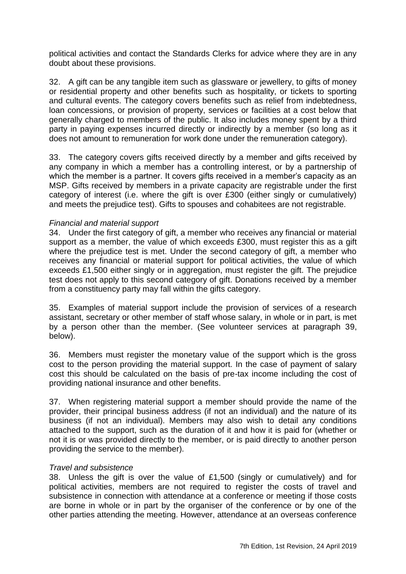political activities and contact the Standards Clerks for advice where they are in any doubt about these provisions.

32. A gift can be any tangible item such as glassware or jewellery, to gifts of money or residential property and other benefits such as hospitality, or tickets to sporting and cultural events. The category covers benefits such as relief from indebtedness, loan concessions, or provision of property, services or facilities at a cost below that generally charged to members of the public. It also includes money spent by a third party in paying expenses incurred directly or indirectly by a member (so long as it does not amount to remuneration for work done under the remuneration category).

33. The category covers gifts received directly by a member and gifts received by any company in which a member has a controlling interest, or by a partnership of which the member is a partner. It covers gifts received in a member's capacity as an MSP. Gifts received by members in a private capacity are registrable under the first category of interest (i.e. where the gift is over £300 (either singly or cumulatively) and meets the prejudice test). Gifts to spouses and cohabitees are not registrable.

#### *Financial and material support*

34. Under the first category of gift, a member who receives any financial or material support as a member, the value of which exceeds £300, must register this as a gift where the prejudice test is met. Under the second category of gift, a member who receives any financial or material support for political activities, the value of which exceeds £1,500 either singly or in aggregation, must register the gift. The prejudice test does not apply to this second category of gift. Donations received by a member from a constituency party may fall within the gifts category.

35. Examples of material support include the provision of services of a research assistant, secretary or other member of staff whose salary, in whole or in part, is met by a person other than the member. (See volunteer services at paragraph 39, below).

36. Members must register the monetary value of the support which is the gross cost to the person providing the material support. In the case of payment of salary cost this should be calculated on the basis of pre-tax income including the cost of providing national insurance and other benefits.

37. When registering material support a member should provide the name of the provider, their principal business address (if not an individual) and the nature of its business (if not an individual). Members may also wish to detail any conditions attached to the support, such as the duration of it and how it is paid for (whether or not it is or was provided directly to the member, or is paid directly to another person providing the service to the member).

#### *Travel and subsistence*

38. Unless the gift is over the value of £1,500 (singly or cumulatively) and for political activities, members are not required to register the costs of travel and subsistence in connection with attendance at a conference or meeting if those costs are borne in whole or in part by the organiser of the conference or by one of the other parties attending the meeting. However, attendance at an overseas conference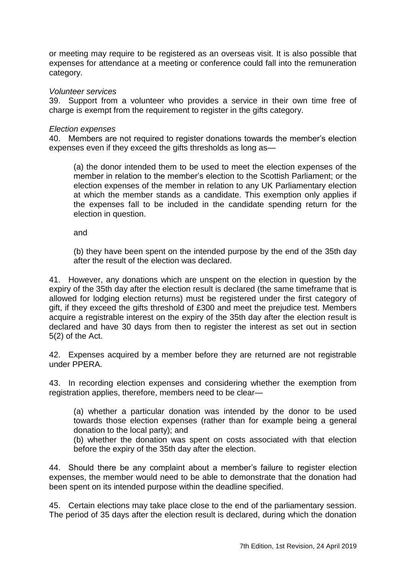or meeting may require to be registered as an overseas visit. It is also possible that expenses for attendance at a meeting or conference could fall into the remuneration category.

#### *Volunteer services*

39. Support from a volunteer who provides a service in their own time free of charge is exempt from the requirement to register in the gifts category.

#### *Election expenses*

40. Members are not required to register donations towards the member's election expenses even if they exceed the gifts thresholds as long as—

(a) the donor intended them to be used to meet the election expenses of the member in relation to the member's election to the Scottish Parliament; or the election expenses of the member in relation to any UK Parliamentary election at which the member stands as a candidate. This exemption only applies if the expenses fall to be included in the candidate spending return for the election in question.

and

(b) they have been spent on the intended purpose by the end of the 35th day after the result of the election was declared.

41. However, any donations which are unspent on the election in question by the expiry of the 35th day after the election result is declared (the same timeframe that is allowed for lodging election returns) must be registered under the first category of gift, if they exceed the gifts threshold of £300 and meet the prejudice test. Members acquire a registrable interest on the expiry of the 35th day after the election result is declared and have 30 days from then to register the interest as set out in section 5(2) of the Act.

42. Expenses acquired by a member before they are returned are not registrable under PPERA.

43. In recording election expenses and considering whether the exemption from registration applies, therefore, members need to be clear—

(a) whether a particular donation was intended by the donor to be used towards those election expenses (rather than for example being a general donation to the local party); and

(b) whether the donation was spent on costs associated with that election before the expiry of the 35th day after the election.

44. Should there be any complaint about a member's failure to register election expenses, the member would need to be able to demonstrate that the donation had been spent on its intended purpose within the deadline specified.

45. Certain elections may take place close to the end of the parliamentary session. The period of 35 days after the election result is declared, during which the donation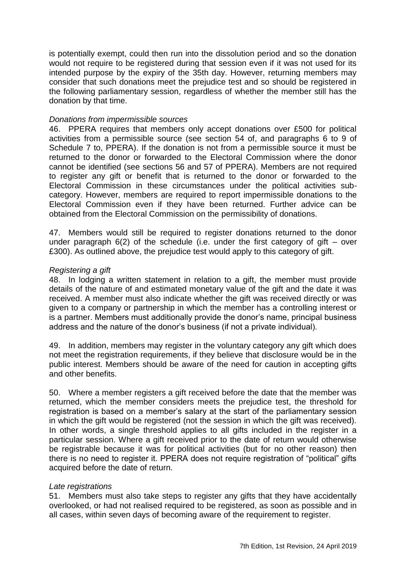is potentially exempt, could then run into the dissolution period and so the donation would not require to be registered during that session even if it was not used for its intended purpose by the expiry of the 35th day. However, returning members may consider that such donations meet the prejudice test and so should be registered in the following parliamentary session, regardless of whether the member still has the donation by that time.

#### *Donations from impermissible sources*

46. PPERA requires that members only accept donations over £500 for political activities from a permissible source (see section 54 of, and paragraphs 6 to 9 of Schedule 7 to, PPERA). If the donation is not from a permissible source it must be returned to the donor or forwarded to the Electoral Commission where the donor cannot be identified (see sections 56 and 57 of PPERA). Members are not required to register any gift or benefit that is returned to the donor or forwarded to the Electoral Commission in these circumstances under the political activities subcategory. However, members are required to report impermissible donations to the Electoral Commission even if they have been returned. Further advice can be obtained from the Electoral Commission on the permissibility of donations.

47. Members would still be required to register donations returned to the donor under paragraph  $6(2)$  of the schedule (i.e. under the first category of gift – over £300). As outlined above, the prejudice test would apply to this category of gift.

#### *Registering a gift*

48. In lodging a written statement in relation to a gift, the member must provide details of the nature of and estimated monetary value of the gift and the date it was received. A member must also indicate whether the gift was received directly or was given to a company or partnership in which the member has a controlling interest or is a partner. Members must additionally provide the donor's name, principal business address and the nature of the donor's business (if not a private individual).

49. In addition, members may register in the voluntary category any gift which does not meet the registration requirements, if they believe that disclosure would be in the public interest. Members should be aware of the need for caution in accepting gifts and other benefits.

50. Where a member registers a gift received before the date that the member was returned, which the member considers meets the prejudice test, the threshold for registration is based on a member's salary at the start of the parliamentary session in which the gift would be registered (not the session in which the gift was received). In other words, a single threshold applies to all gifts included in the register in a particular session. Where a gift received prior to the date of return would otherwise be registrable because it was for political activities (but for no other reason) then there is no need to register it. PPERA does not require registration of "political" gifts acquired before the date of return.

## *Late registrations*

51. Members must also take steps to register any gifts that they have accidentally overlooked, or had not realised required to be registered, as soon as possible and in all cases, within seven days of becoming aware of the requirement to register.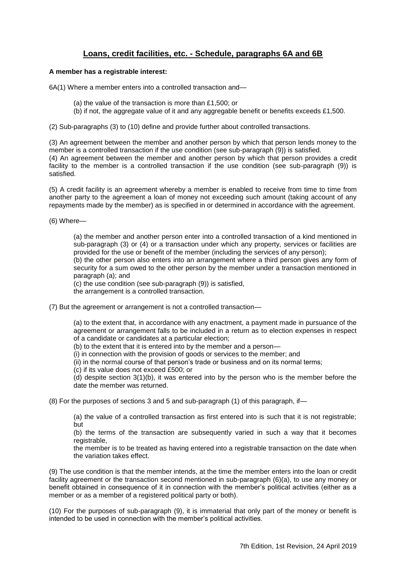## **Loans, credit facilities, etc. - Schedule, paragraphs 6A and 6B**

#### <span id="page-24-0"></span>**A member has a registrable interest:**

6A(1) Where a member enters into a controlled transaction and—

- (a) the value of the transaction is more than £1,500; or
- (b) if not, the aggregate value of it and any aggregable benefit or benefits exceeds £1,500.

(2) Sub-paragraphs (3) to (10) define and provide further about controlled transactions.

(3) An agreement between the member and another person by which that person lends money to the member is a controlled transaction if the use condition (see sub-paragraph (9)) is satisfied.

(4) An agreement between the member and another person by which that person provides a credit facility to the member is a controlled transaction if the use condition (see sub-paragraph (9)) is satisfied.

(5) A credit facility is an agreement whereby a member is enabled to receive from time to time from another party to the agreement a loan of money not exceeding such amount (taking account of any repayments made by the member) as is specified in or determined in accordance with the agreement.

(6) Where—

(a) the member and another person enter into a controlled transaction of a kind mentioned in sub-paragraph (3) or (4) or a transaction under which any property, services or facilities are provided for the use or benefit of the member (including the services of any person);

(b) the other person also enters into an arrangement where a third person gives any form of security for a sum owed to the other person by the member under a transaction mentioned in paragraph (a); and

(c) the use condition (see sub-paragraph (9)) is satisfied,

the arrangement is a controlled transaction.

(7) But the agreement or arrangement is not a controlled transaction—

(a) to the extent that, in accordance with any enactment, a payment made in pursuance of the agreement or arrangement falls to be included in a return as to election expenses in respect of a candidate or candidates at a particular election;

(b) to the extent that it is entered into by the member and a person—

(i) in connection with the provision of goods or services to the member; and

(ii) in the normal course of that person's trade or business and on its normal terms;

(c) if its value does not exceed £500; or

(d) despite section 3(1)(b), it was entered into by the person who is the member before the date the member was returned.

(8) For the purposes of sections 3 and 5 and sub-paragraph (1) of this paragraph, if—

(a) the value of a controlled transaction as first entered into is such that it is not registrable; but

(b) the terms of the transaction are subsequently varied in such a way that it becomes registrable.

the member is to be treated as having entered into a registrable transaction on the date when the variation takes effect.

(9) The use condition is that the member intends, at the time the member enters into the loan or credit facility agreement or the transaction second mentioned in sub-paragraph (6)(a), to use any money or benefit obtained in consequence of it in connection with the member's political activities (either as a member or as a member of a registered political party or both).

(10) For the purposes of sub-paragraph (9), it is immaterial that only part of the money or benefit is intended to be used in connection with the member's political activities.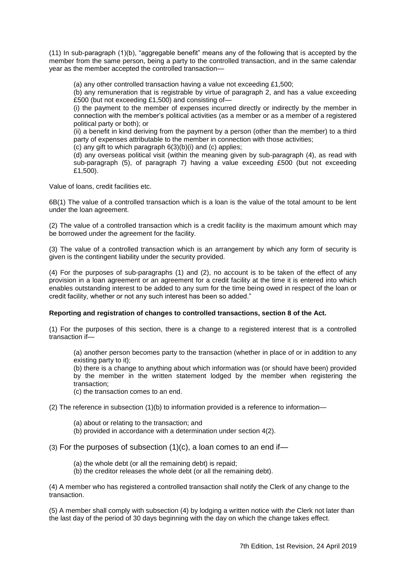$(11)$  In sub-paragraph  $(1)(b)$ , "aggregable benefit" means any of the following that is accepted by the member from the same person, being a party to the controlled transaction, and in the same calendar year as the member accepted the controlled transaction—

(a) any other controlled transaction having a value not exceeding £1,500;

(b) any remuneration that is registrable by virtue of paragraph 2, and has a value exceeding £500 (but not exceeding £1,500) and consisting of—

(i) the payment to the member of expenses incurred directly or indirectly by the member in connection with the member's political activities (as a member or as a member of a registered political party or both); or

(ii) a benefit in kind deriving from the payment by a person (other than the member) to a third party of expenses attributable to the member in connection with those activities;

(c) any gift to which paragraph 6(3)(b)(i) and (c) applies;

(d) any overseas political visit (within the meaning given by sub-paragraph (4), as read with sub-paragraph (5), of paragraph 7) having a value exceeding £500 (but not exceeding £1,500).

Value of loans, credit facilities etc.

6B(1) The value of a controlled transaction which is a loan is the value of the total amount to be lent under the loan agreement.

(2) The value of a controlled transaction which is a credit facility is the maximum amount which may be borrowed under the agreement for the facility.

(3) The value of a controlled transaction which is an arrangement by which any form of security is given is the contingent liability under the security provided.

(4) For the purposes of sub-paragraphs (1) and (2), no account is to be taken of the effect of any provision in a loan agreement or an agreement for a credit facility at the time it is entered into which enables outstanding interest to be added to any sum for the time being owed in respect of the loan or credit facility, whether or not any such interest has been so added."

#### **Reporting and registration of changes to controlled transactions, section 8 of the Act.**

(1) For the purposes of this section, there is a change to a registered interest that is a controlled transaction if—

(a) another person becomes party to the transaction (whether in place of or in addition to any existing party to it);

(b) there is a change to anything about which information was (or should have been) provided by the member in the written statement lodged by the member when registering the transaction;

(c) the transaction comes to an end.

(2) The reference in subsection  $(1)(b)$  to information provided is a reference to information—

- (a) about or relating to the transaction; and
- (b) provided in accordance with a determination under section 4(2).

 $(3)$  For the purposes of subsection  $(1)(c)$ , a loan comes to an end if-

- (a) the whole debt (or all the remaining debt) is repaid;
- (b) the creditor releases the whole debt (or all the remaining debt).

(4) A member who has registered a controlled transaction shall notify the Clerk of any change to the transaction.

(5) A member shall comply with subsection (4) by lodging a written notice with *the* Clerk not later than the last day of the period of 30 days beginning with the day on which the change takes effect.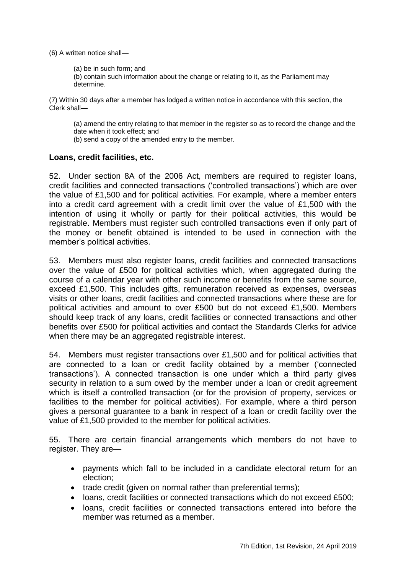(6) A written notice shall—

(a) be in such form; and

(b) contain such information about the change or relating to it, as the Parliament may determine.

(7) Within 30 days after a member has lodged a written notice in accordance with this section, the Clerk shall—

(a) amend the entry relating to that member in the register so as to record the change and the date when it took effect; and

(b) send a copy of the amended entry to the member.

#### **Loans, credit facilities, etc.**

52. Under section 8A of the 2006 Act, members are required to register loans, credit facilities and connected transactions (‗controlled transactions') which are over the value of £1,500 and for political activities. For example, where a member enters into a credit card agreement with a credit limit over the value of £1,500 with the intention of using it wholly or partly for their political activities, this would be registrable. Members must register such controlled transactions even if only part of the money or benefit obtained is intended to be used in connection with the member's political activities.

53. Members must also register loans, credit facilities and connected transactions over the value of £500 for political activities which, when aggregated during the course of a calendar year with other such income or benefits from the same source, exceed £1,500. This includes gifts, remuneration received as expenses, overseas visits or other loans, credit facilities and connected transactions where these are for political activities and amount to over £500 but do not exceed £1,500. Members should keep track of any loans, credit facilities or connected transactions and other benefits over £500 for political activities and contact the Standards Clerks for advice when there may be an aggregated registrable interest.

54. Members must register transactions over £1,500 and for political activities that are connected to a loan or credit facility obtained by a member ('connected transactions'). A connected transaction is one under which a third party gives security in relation to a sum owed by the member under a loan or credit agreement which is itself a controlled transaction (or for the provision of property, services or facilities to the member for political activities). For example, where a third person gives a personal guarantee to a bank in respect of a loan or credit facility over the value of £1,500 provided to the member for political activities.

55. There are certain financial arrangements which members do not have to register. They are—

- payments which fall to be included in a candidate electoral return for an election;
- trade credit (given on normal rather than preferential terms);
- loans, credit facilities or connected transactions which do not exceed £500;
- loans, credit facilities or connected transactions entered into before the member was returned as a member.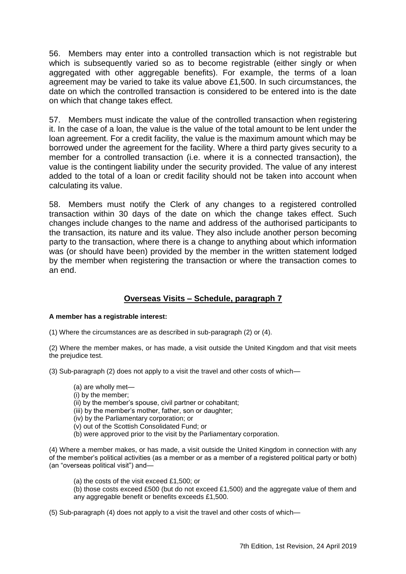56. Members may enter into a controlled transaction which is not registrable but which is subsequently varied so as to become registrable (either singly or when aggregated with other aggregable benefits). For example, the terms of a loan agreement may be varied to take its value above £1,500. In such circumstances, the date on which the controlled transaction is considered to be entered into is the date on which that change takes effect.

57. Members must indicate the value of the controlled transaction when registering it. In the case of a loan, the value is the value of the total amount to be lent under the loan agreement. For a credit facility, the value is the maximum amount which may be borrowed under the agreement for the facility. Where a third party gives security to a member for a controlled transaction (i.e. where it is a connected transaction), the value is the contingent liability under the security provided. The value of any interest added to the total of a loan or credit facility should not be taken into account when calculating its value.

58. Members must notify the Clerk of any changes to a registered controlled transaction within 30 days of the date on which the change takes effect. Such changes include changes to the name and address of the authorised participants to the transaction, its nature and its value. They also include another person becoming party to the transaction, where there is a change to anything about which information was (or should have been) provided by the member in the written statement lodged by the member when registering the transaction or where the transaction comes to an end.

# **Overseas Visits – Schedule, paragraph 7**

#### <span id="page-27-0"></span>**A member has a registrable interest:**

(1) Where the circumstances are as described in sub-paragraph (2) or (4).

(2) Where the member makes, or has made, a visit outside the United Kingdom and that visit meets the prejudice test.

(3) Sub-paragraph (2) does not apply to a visit the travel and other costs of which—

- (a) are wholly met—
- (i) by the member;
- (ii) by the member's spouse, civil partner or cohabitant;
- (iii) by the member's mother, father, son or daughter;
- (iv) by the Parliamentary corporation; or
- (v) out of the Scottish Consolidated Fund; or
- (b) were approved prior to the visit by the Parliamentary corporation.

(4) Where a member makes, or has made, a visit outside the United Kingdom in connection with any of the member's political activities (as a member or as a member of a registered political party or both) (an "overseas political visit") and-

- (a) the costs of the visit exceed £1,500; or
- (b) those costs exceed £500 (but do not exceed £1,500) and the aggregate value of them and any aggregable benefit or benefits exceeds £1,500.

(5) Sub-paragraph (4) does not apply to a visit the travel and other costs of which—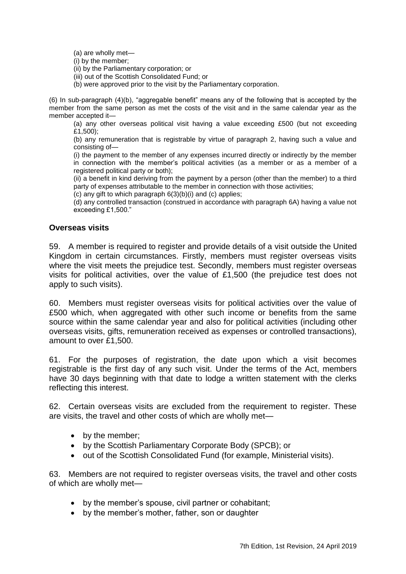(a) are wholly met—

(i) by the member;

(ii) by the Parliamentary corporation; or

- (iii) out of the Scottish Consolidated Fund; or
- (b) were approved prior to the visit by the Parliamentary corporation.

(6) In sub-paragraph  $(4)(b)$ , "aggregable benefit" means any of the following that is accepted by the member from the same person as met the costs of the visit and in the same calendar year as the member accepted it—

(a) any other overseas political visit having a value exceeding £500 (but not exceeding £1,500);

(b) any remuneration that is registrable by virtue of paragraph 2, having such a value and consisting of—

(i) the payment to the member of any expenses incurred directly or indirectly by the member in connection with the member's political activities (as a member or as a member of a registered political party or both);

(ii) a benefit in kind deriving from the payment by a person (other than the member) to a third party of expenses attributable to the member in connection with those activities;

(c) any gift to which paragraph 6(3)(b)(i) and (c) applies;

(d) any controlled transaction (construed in accordance with paragraph 6A) having a value not exceeding £1,500."

#### **Overseas visits**

59. A member is required to register and provide details of a visit outside the United Kingdom in certain circumstances. Firstly, members must register overseas visits where the visit meets the prejudice test. Secondly, members must register overseas visits for political activities, over the value of £1,500 (the prejudice test does not apply to such visits).

60. Members must register overseas visits for political activities over the value of £500 which, when aggregated with other such income or benefits from the same source within the same calendar year and also for political activities (including other overseas visits, gifts, remuneration received as expenses or controlled transactions), amount to over £1,500.

61. For the purposes of registration, the date upon which a visit becomes registrable is the first day of any such visit. Under the terms of the Act, members have 30 days beginning with that date to lodge a written statement with the clerks reflecting this interest.

62. Certain overseas visits are excluded from the requirement to register. These are visits, the travel and other costs of which are wholly met—

- by the member;
- by the Scottish Parliamentary Corporate Body (SPCB); or
- out of the Scottish Consolidated Fund (for example, Ministerial visits).

63. Members are not required to register overseas visits, the travel and other costs of which are wholly met—

- by the member's spouse, civil partner or cohabitant;
- by the member's mother, father, son or daughter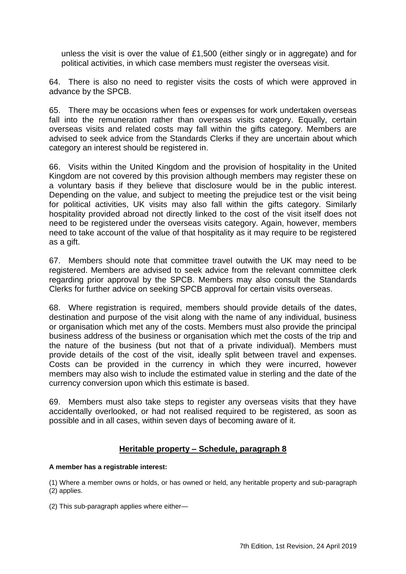unless the visit is over the value of £1,500 (either singly or in aggregate) and for political activities, in which case members must register the overseas visit.

64. There is also no need to register visits the costs of which were approved in advance by the SPCB.

65. There may be occasions when fees or expenses for work undertaken overseas fall into the remuneration rather than overseas visits category. Equally, certain overseas visits and related costs may fall within the gifts category. Members are advised to seek advice from the Standards Clerks if they are uncertain about which category an interest should be registered in.

66. Visits within the United Kingdom and the provision of hospitality in the United Kingdom are not covered by this provision although members may register these on a voluntary basis if they believe that disclosure would be in the public interest. Depending on the value, and subject to meeting the prejudice test or the visit being for political activities, UK visits may also fall within the gifts category. Similarly hospitality provided abroad not directly linked to the cost of the visit itself does not need to be registered under the overseas visits category. Again, however, members need to take account of the value of that hospitality as it may require to be registered as a gift.

67. Members should note that committee travel outwith the UK may need to be registered. Members are advised to seek advice from the relevant committee clerk regarding prior approval by the SPCB. Members may also consult the Standards Clerks for further advice on seeking SPCB approval for certain visits overseas.

68. Where registration is required, members should provide details of the dates, destination and purpose of the visit along with the name of any individual, business or organisation which met any of the costs. Members must also provide the principal business address of the business or organisation which met the costs of the trip and the nature of the business (but not that of a private individual). Members must provide details of the cost of the visit, ideally split between travel and expenses. Costs can be provided in the currency in which they were incurred, however members may also wish to include the estimated value in sterling and the date of the currency conversion upon which this estimate is based.

69. Members must also take steps to register any overseas visits that they have accidentally overlooked, or had not realised required to be registered, as soon as possible and in all cases, within seven days of becoming aware of it.

## **Heritable property – Schedule, paragraph 8**

#### <span id="page-29-0"></span>**A member has a registrable interest:**

(1) Where a member owns or holds, or has owned or held, any heritable property and sub-paragraph (2) applies.

(2) This sub-paragraph applies where either—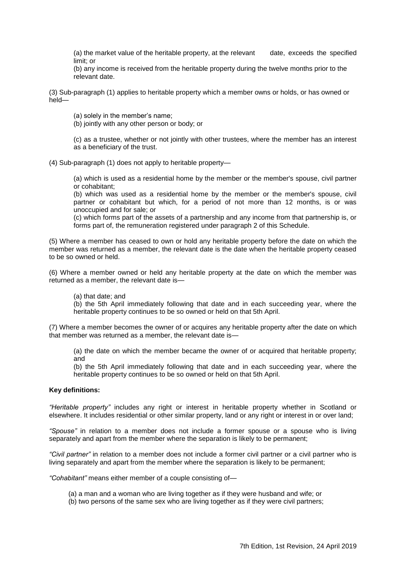(a) the market value of the heritable property, at the relevant date, exceeds the specified limit; or

(b) any income is received from the heritable property during the twelve months prior to the relevant date.

(3) Sub-paragraph (1) applies to heritable property which a member owns or holds, or has owned or held—

(a) solely in the member's name;

(b) jointly with any other person or body; or

(c) as a trustee, whether or not jointly with other trustees, where the member has an interest as a beneficiary of the trust.

(4) Sub-paragraph (1) does not apply to heritable property—

(a) which is used as a residential home by the member or the member's spouse, civil partner or cohabitant;

(b) which was used as a residential home by the member or the member's spouse, civil partner or cohabitant but which, for a period of not more than 12 months, is or was unoccupied and for sale; or

(c) which forms part of the assets of a partnership and any income from that partnership is, or forms part of, the remuneration registered under paragraph 2 of this Schedule.

(5) Where a member has ceased to own or hold any heritable property before the date on which the member was returned as a member, the relevant date is the date when the heritable property ceased to be so owned or held.

(6) Where a member owned or held any heritable property at the date on which the member was returned as a member, the relevant date is—

(a) that date; and

(b) the 5th April immediately following that date and in each succeeding year, where the heritable property continues to be so owned or held on that 5th April.

(7) Where a member becomes the owner of or acquires any heritable property after the date on which that member was returned as a member, the relevant date is—

(a) the date on which the member became the owner of or acquired that heritable property; and

(b) the 5th April immediately following that date and in each succeeding year, where the heritable property continues to be so owned or held on that 5th April.

#### **Key definitions:**

*―Heritable property‖* includes any right or interest in heritable property whether in Scotland or elsewhere. It includes residential or other similar property, land or any right or interest in or over land;

*―Spouse‖* in relation to a member does not include a former spouse or a spouse who is living separately and apart from the member where the separation is likely to be permanent;

*―Civil partner‖* in relation to a member does not include a former civil partner or a civil partner who is living separately and apart from the member where the separation is likely to be permanent;

*―Cohabitant‖* means either member of a couple consisting of—

- (a) a man and a woman who are living together as if they were husband and wife; or
- (b) two persons of the same sex who are living together as if they were civil partners;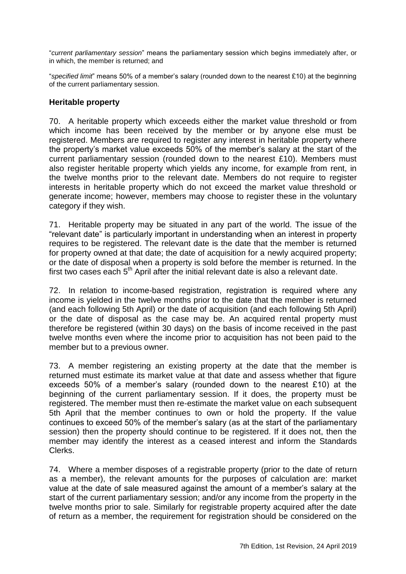―*current parliamentary session*‖ means the parliamentary session which begins immediately after, or in which, the member is returned; and

―*specified limit*‖ means 50% of a member's salary (rounded down to the nearest £10) at the beginning of the current parliamentary session.

#### **Heritable property**

70. A heritable property which exceeds either the market value threshold or from which income has been received by the member or by anyone else must be registered. Members are required to register any interest in heritable property where the property's market value exceeds 50% of the member's salary at the start of the current parliamentary session (rounded down to the nearest £10). Members must also register heritable property which yields any income, for example from rent, in the twelve months prior to the relevant date. Members do not require to register interests in heritable property which do not exceed the market value threshold or generate income; however, members may choose to register these in the voluntary category if they wish.

71. Heritable property may be situated in any part of the world. The issue of the ―relevant date‖ is particularly important in understanding when an interest in property requires to be registered. The relevant date is the date that the member is returned for property owned at that date; the date of acquisition for a newly acquired property; or the date of disposal when a property is sold before the member is returned. In the first two cases each  $5<sup>th</sup>$  April after the initial relevant date is also a relevant date.

72. In relation to income-based registration, registration is required where any income is yielded in the twelve months prior to the date that the member is returned (and each following 5th April) or the date of acquisition (and each following 5th April) or the date of disposal as the case may be. An acquired rental property must therefore be registered (within 30 days) on the basis of income received in the past twelve months even where the income prior to acquisition has not been paid to the member but to a previous owner.

73. A member registering an existing property at the date that the member is returned must estimate its market value at that date and assess whether that figure exceeds 50% of a member's salary (rounded down to the nearest £10) at the beginning of the current parliamentary session. If it does, the property must be registered. The member must then re-estimate the market value on each subsequent 5th April that the member continues to own or hold the property. If the value continues to exceed 50% of the member's salary (as at the start of the parliamentary session) then the property should continue to be registered. If it does not, then the member may identify the interest as a ceased interest and inform the Standards Clerks.

74. Where a member disposes of a registrable property (prior to the date of return as a member), the relevant amounts for the purposes of calculation are: market value at the date of sale measured against the amount of a member's salary at the start of the current parliamentary session; and/or any income from the property in the twelve months prior to sale. Similarly for registrable property acquired after the date of return as a member, the requirement for registration should be considered on the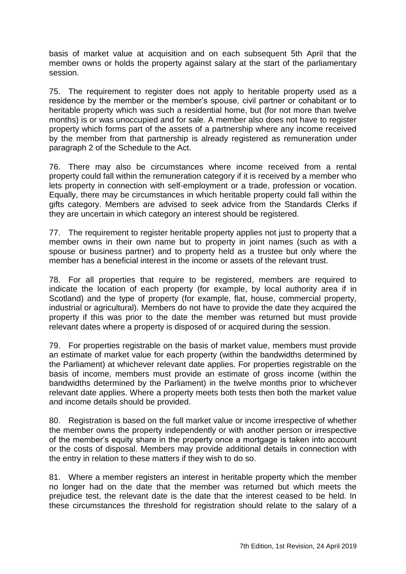basis of market value at acquisition and on each subsequent 5th April that the member owns or holds the property against salary at the start of the parliamentary session.

75. The requirement to register does not apply to heritable property used as a residence by the member or the member's spouse, civil partner or cohabitant or to heritable property which was such a residential home, but (for not more than twelve months) is or was unoccupied and for sale. A member also does not have to register property which forms part of the assets of a partnership where any income received by the member from that partnership is already registered as remuneration under paragraph 2 of the Schedule to the Act.

76. There may also be circumstances where income received from a rental property could fall within the remuneration category if it is received by a member who lets property in connection with self-employment or a trade, profession or vocation. Equally, there may be circumstances in which heritable property could fall within the gifts category. Members are advised to seek advice from the Standards Clerks if they are uncertain in which category an interest should be registered.

77. The requirement to register heritable property applies not just to property that a member owns in their own name but to property in joint names (such as with a spouse or business partner) and to property held as a trustee but only where the member has a beneficial interest in the income or assets of the relevant trust.

78. For all properties that require to be registered, members are required to indicate the location of each property (for example, by local authority area if in Scotland) and the type of property (for example, flat, house, commercial property, industrial or agricultural). Members do not have to provide the date they acquired the property if this was prior to the date the member was returned but must provide relevant dates where a property is disposed of or acquired during the session.

79. For properties registrable on the basis of market value, members must provide an estimate of market value for each property (within the bandwidths determined by the Parliament) at whichever relevant date applies. For properties registrable on the basis of income, members must provide an estimate of gross income (within the bandwidths determined by the Parliament) in the twelve months prior to whichever relevant date applies. Where a property meets both tests then both the market value and income details should be provided.

80. Registration is based on the full market value or income irrespective of whether the member owns the property independently or with another person or irrespective of the member's equity share in the property once a mortgage is taken into account or the costs of disposal. Members may provide additional details in connection with the entry in relation to these matters if they wish to do so.

81. Where a member registers an interest in heritable property which the member no longer had on the date that the member was returned but which meets the prejudice test, the relevant date is the date that the interest ceased to be held. In these circumstances the threshold for registration should relate to the salary of a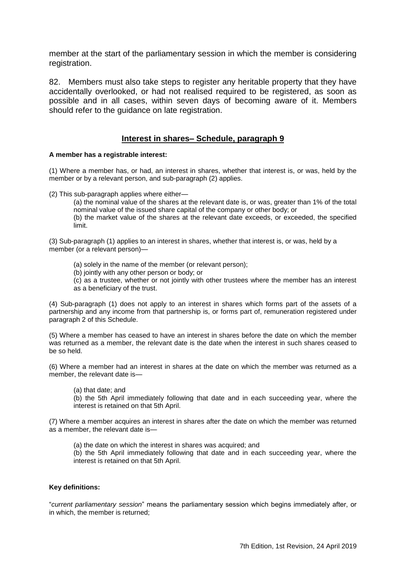member at the start of the parliamentary session in which the member is considering registration.

82. Members must also take steps to register any heritable property that they have accidentally overlooked, or had not realised required to be registered, as soon as possible and in all cases, within seven days of becoming aware of it. Members should refer to the guidance on late registration.

#### **Interest in shares– Schedule, paragraph 9**

#### <span id="page-33-0"></span>**A member has a registrable interest:**

(1) Where a member has, or had, an interest in shares, whether that interest is, or was, held by the member or by a relevant person, and sub-paragraph (2) applies.

(2) This sub-paragraph applies where either—

(a) the nominal value of the shares at the relevant date is, or was, greater than 1% of the total nominal value of the issued share capital of the company or other body; or

(b) the market value of the shares at the relevant date exceeds, or exceeded, the specified limit.

(3) Sub-paragraph (1) applies to an interest in shares, whether that interest is, or was, held by a member (or a relevant person)—

- (a) solely in the name of the member (or relevant person);
- (b) jointly with any other person or body; or

(c) as a trustee, whether or not jointly with other trustees where the member has an interest as a beneficiary of the trust.

(4) Sub-paragraph (1) does not apply to an interest in shares which forms part of the assets of a partnership and any income from that partnership is, or forms part of, remuneration registered under paragraph 2 of this Schedule.

(5) Where a member has ceased to have an interest in shares before the date on which the member was returned as a member, the relevant date is the date when the interest in such shares ceased to be so held.

(6) Where a member had an interest in shares at the date on which the member was returned as a member, the relevant date is—

(a) that date; and

(b) the 5th April immediately following that date and in each succeeding year, where the interest is retained on that 5th April.

(7) Where a member acquires an interest in shares after the date on which the member was returned as a member, the relevant date is—

(a) the date on which the interest in shares was acquired; and

(b) the 5th April immediately following that date and in each succeeding year, where the interest is retained on that 5th April.

#### **Key definitions:**

―*current parliamentary session*‖ means the parliamentary session which begins immediately after, or in which, the member is returned;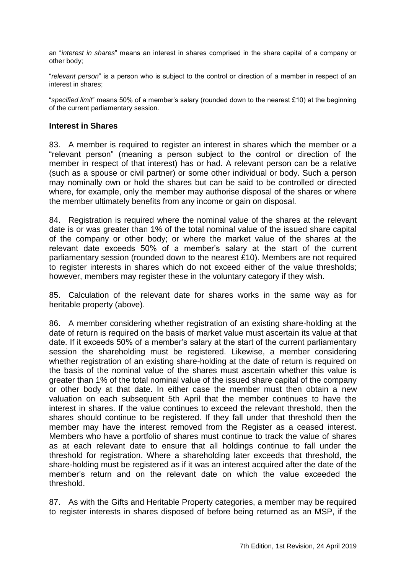an "interest in shares" means an interest in shares comprised in the share capital of a company or other body;

―*relevant person*‖ is a person who is subject to the control or direction of a member in respect of an interest in shares;

―*specified limit*‖ means 50% of a member's salary (rounded down to the nearest £10) at the beginning of the current parliamentary session.

#### **Interest in Shares**

83. A member is required to register an interest in shares which the member or a ―relevant person‖ (meaning a person subject to the control or direction of the member in respect of that interest) has or had. A relevant person can be a relative (such as a spouse or civil partner) or some other individual or body. Such a person may nominally own or hold the shares but can be said to be controlled or directed where, for example, only the member may authorise disposal of the shares or where the member ultimately benefits from any income or gain on disposal.

84. Registration is required where the nominal value of the shares at the relevant date is or was greater than 1% of the total nominal value of the issued share capital of the company or other body; or where the market value of the shares at the relevant date exceeds 50% of a member's salary at the start of the current parliamentary session (rounded down to the nearest £10). Members are not required to register interests in shares which do not exceed either of the value thresholds; however, members may register these in the voluntary category if they wish.

85. Calculation of the relevant date for shares works in the same way as for heritable property (above).

86. A member considering whether registration of an existing share-holding at the date of return is required on the basis of market value must ascertain its value at that date. If it exceeds 50% of a member's salary at the start of the current parliamentary session the shareholding must be registered. Likewise, a member considering whether registration of an existing share-holding at the date of return is required on the basis of the nominal value of the shares must ascertain whether this value is greater than 1% of the total nominal value of the issued share capital of the company or other body at that date. In either case the member must then obtain a new valuation on each subsequent 5th April that the member continues to have the interest in shares. If the value continues to exceed the relevant threshold, then the shares should continue to be registered. If they fall under that threshold then the member may have the interest removed from the Register as a ceased interest. Members who have a portfolio of shares must continue to track the value of shares as at each relevant date to ensure that all holdings continue to fall under the threshold for registration. Where a shareholding later exceeds that threshold, the share-holding must be registered as if it was an interest acquired after the date of the member's return and on the relevant date on which the value exceeded the threshold.

87. As with the Gifts and Heritable Property categories, a member may be required to register interests in shares disposed of before being returned as an MSP, if the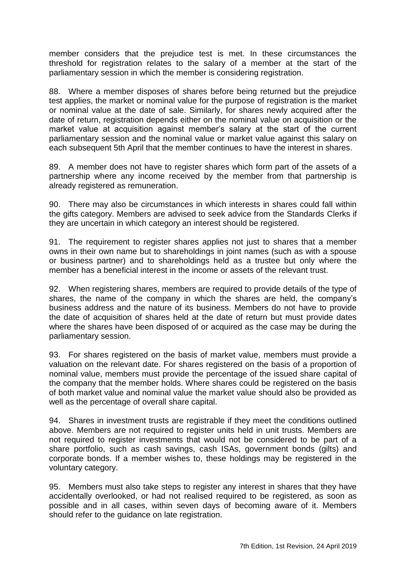member considers that the prejudice test is met. In these circumstances the threshold for registration relates to the salary of a member at the start of the parliamentary session in which the member is considering registration.

88. Where a member disposes of shares before being returned but the prejudice test applies, the market or nominal value for the purpose of registration is the market or nominal value at the date of sale. Similarly, for shares newly acquired after the date of return, registration depends either on the nominal value on acquisition or the market value at acquisition against member's salary at the start of the current parliamentary session and the nominal value or market value against this salary on each subsequent 5th April that the member continues to have the interest in shares.

89. A member does not have to register shares which form part of the assets of a partnership where any income received by the member from that partnership is already registered as remuneration.

90. There may also be circumstances in which interests in shares could fall within the gifts category. Members are advised to seek advice from the Standards Clerks if they are uncertain in which category an interest should be registered.

91. The requirement to register shares applies not just to shares that a member owns in their own name but to shareholdings in joint names (such as with a spouse or business partner) and to shareholdings held as a trustee but only where the member has a beneficial interest in the income or assets of the relevant trust.

92. When registering shares, members are required to provide details of the type of shares, the name of the company in which the shares are held, the company's business address and the nature of its business. Members do not have to provide the date of acquisition of shares held at the date of return but must provide dates where the shares have been disposed of or acquired as the case may be during the parliamentary session.

93. For shares registered on the basis of market value, members must provide a valuation on the relevant date. For shares registered on the basis of a proportion of nominal value, members must provide the percentage of the issued share capital of the company that the member holds. Where shares could be registered on the basis of both market value and nominal value the market value should also be provided as well as the percentage of overall share capital.

94. Shares in investment trusts are registrable if they meet the conditions outlined above. Members are not required to register units held in unit trusts. Members are not required to register investments that would not be considered to be part of a share portfolio, such as cash savings, cash ISAs, government bonds (gilts) and corporate bonds. If a member wishes to, these holdings may be registered in the voluntary category.

95. Members must also take steps to register any interest in shares that they have accidentally overlooked, or had not realised required to be registered, as soon as possible and in all cases, within seven days of becoming aware of it. Members should refer to the guidance on late registration.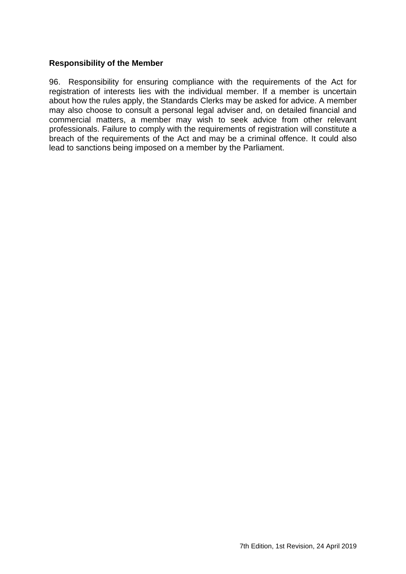#### <span id="page-36-0"></span>**Responsibility of the Member**

96. Responsibility for ensuring compliance with the requirements of the Act for registration of interests lies with the individual member. If a member is uncertain about how the rules apply, the Standards Clerks may be asked for advice. A member may also choose to consult a personal legal adviser and, on detailed financial and commercial matters, a member may wish to seek advice from other relevant professionals. Failure to comply with the requirements of registration will constitute a breach of the requirements of the Act and may be a criminal offence. It could also lead to sanctions being imposed on a member by the Parliament.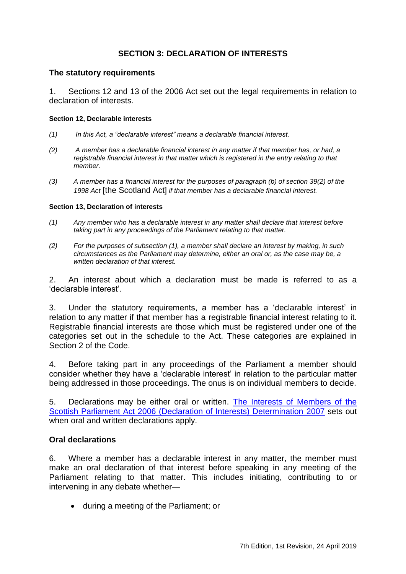# **SECTION 3: DECLARATION OF INTERESTS**

#### <span id="page-38-1"></span><span id="page-38-0"></span>**The statutory requirements**

1. Sections 12 and 13 of the 2006 Act set out the legal requirements in relation to declaration of interests.

#### **Section 12, Declarable interests**

- *(1) In this Act, a ―declarable interest‖ means a declarable financial interest.*
- *(2) A member has a declarable financial interest in any matter if that member has, or had, a registrable financial interest in that matter which is registered in the entry relating to that member.*
- *(3) A member has a financial interest for the purposes of paragraph (b) of section 39(2) of the 1998 Act* [the Scotland Act] *if that member has a declarable financial interest.*

#### **Section 13, Declaration of interests**

- *(1) Any member who has a declarable interest in any matter shall declare that interest before taking part in any proceedings of the Parliament relating to that matter.*
- *(2) For the purposes of subsection (1), a member shall declare an interest by making, in such circumstances as the Parliament may determine, either an oral or, as the case may be, a written declaration of that interest.*

2. An interest about which a declaration must be made is referred to as a ‗declarable interest'.

3. Under the statutory requirements, a member has a ‗declarable interest' in relation to any matter if that member has a registrable financial interest relating to it. Registrable financial interests are those which must be registered under one of the categories set out in the schedule to the Act. These categories are explained in Section 2 of the Code.

4. Before taking part in any proceedings of the Parliament a member should consider whether they have a 'declarable interest' in relation to the particular matter being addressed in those proceedings. The onus is on individual members to decide.

5. Declarations may be either oral or written. [The Interests of Members of the](http://www.parliament.scot/Parliamentaryprocedureandguidance/2007_2DeclarationofInterests.pdf)  [Scottish Parliament Act 2006 \(Declaration of Interests\) Determination 2007](http://www.parliament.scot/Parliamentaryprocedureandguidance/2007_2DeclarationofInterests.pdf) sets out when oral and written declarations apply.

#### <span id="page-38-2"></span>**Oral declarations**

6. Where a member has a declarable interest in any matter, the member must make an oral declaration of that interest before speaking in any meeting of the Parliament relating to that matter. This includes initiating, contributing to or intervening in any debate whether—

during a meeting of the Parliament; or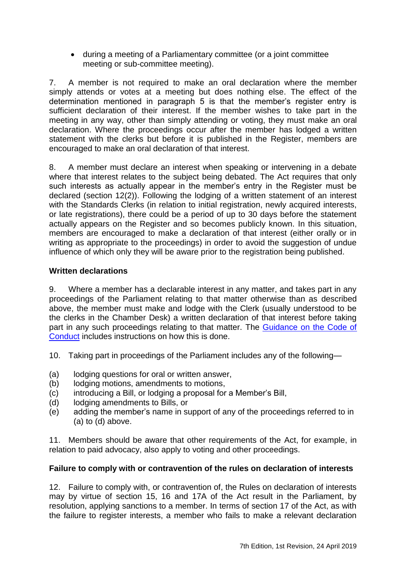during a meeting of a Parliamentary committee (or a joint committee meeting or sub-committee meeting).

7. A member is not required to make an oral declaration where the member simply attends or votes at a meeting but does nothing else. The effect of the determination mentioned in paragraph 5 is that the member's register entry is sufficient declaration of their interest. If the member wishes to take part in the meeting in any way, other than simply attending or voting, they must make an oral declaration. Where the proceedings occur after the member has lodged a written statement with the clerks but before it is published in the Register, members are encouraged to make an oral declaration of that interest.

8. A member must declare an interest when speaking or intervening in a debate where that interest relates to the subject being debated. The Act requires that only such interests as actually appear in the member's entry in the Register must be declared (section 12(2)). Following the lodging of a written statement of an interest with the Standards Clerks (in relation to initial registration, newly acquired interests, or late registrations), there could be a period of up to 30 days before the statement actually appears on the Register and so becomes publicly known. In this situation, members are encouraged to make a declaration of that interest (either orally or in writing as appropriate to the proceedings) in order to avoid the suggestion of undue influence of which only they will be aware prior to the registration being published.

# <span id="page-39-0"></span>**Written declarations**

9. Where a member has a declarable interest in any matter, and takes part in any proceedings of the Parliament relating to that matter otherwise than as described above, the member must make and lodge with the Clerk (usually understood to be the clerks in the Chamber Desk) a written declaration of that interest before taking part in any such proceedings relating to that matter. The Guidance on the Code of [Conduct](http://www.parliament.scot/Parliamentaryprocedureandguidance/CCEd07201708.pdf) includes instructions on how this is done.

- 10. Taking part in proceedings of the Parliament includes any of the following—
- (a) lodging questions for oral or written answer,
- (b) lodging motions, amendments to motions,
- (c) introducing a Bill, or lodging a proposal for a Member's Bill,
- (d) lodging amendments to Bills, or
- (e) adding the member's name in support of any of the proceedings referred to in (a) to (d) above.

11. Members should be aware that other requirements of the Act, for example, in relation to paid advocacy, also apply to voting and other proceedings.

# <span id="page-39-1"></span>**Failure to comply with or contravention of the rules on declaration of interests**

12. Failure to comply with, or contravention of, the Rules on declaration of interests may by virtue of section 15, 16 and 17A of the Act result in the Parliament, by resolution, applying sanctions to a member. In terms of section 17 of the Act, as with the failure to register interests, a member who fails to make a relevant declaration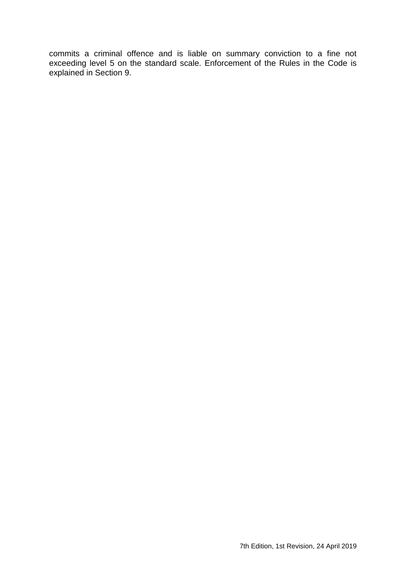commits a criminal offence and is liable on summary conviction to a fine not exceeding level 5 on the standard scale. Enforcement of the Rules in the Code is explained in Section 9.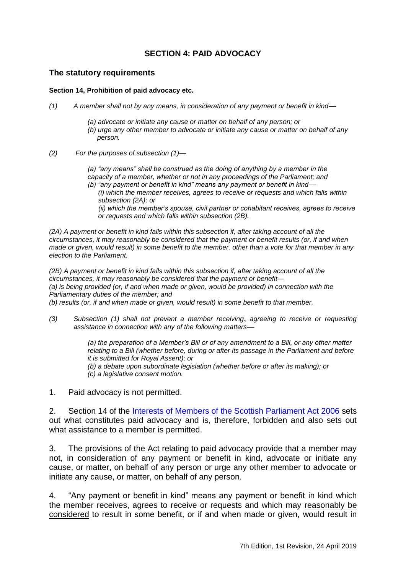# **SECTION 4: PAID ADVOCACY**

#### <span id="page-42-1"></span><span id="page-42-0"></span>**The statutory requirements**

#### **Section 14, Prohibition of paid advocacy etc.**

- *(1) A member shall not by any means, in consideration of any payment or benefit in kind––*
	- *(a) advocate or initiate any cause or matter on behalf of any person; or*
	- *(b) urge any other member to advocate or initiate any cause or matter on behalf of any person.*
- *(2) For the purposes of subsection (1)—*

*(a)* "any means" shall be construed as the doing of anything by a member in the *capacity of a member, whether or not in any proceedings of the Parliament; and*

*(b) ―any payment or benefit in kind‖ means any payment or benefit in kind–– (i) which the member receives, agrees to receive or requests and which falls within subsection (2A); or* 

*(ii) which the member's spouse, civil partner or cohabitant receives, agrees to receive or requests and which falls within subsection (2B).* 

*(2A) A payment or benefit in kind falls within this subsection if, after taking account of all the circumstances, it may reasonably be considered that the payment or benefit results (or, if and when made or given, would result) in some benefit to the member, other than a vote for that member in any election to the Parliament.* 

*(2B) A payment or benefit in kind falls within this subsection if, after taking account of all the circumstances, it may reasonably be considered that the payment or benefit— (a) is being provided (or, if and when made or given, would be provided) in connection with the Parliamentary duties of the member; and* 

*(b) results (or, if and when made or given, would result) in some benefit to that member,* 

*(3) Subsection (1) shall not prevent a member receiving*, *agreeing to receive or requesting assistance in connection with any of the following matters––*

> *(a) the preparation of a Member's Bill or of any amendment to a Bill, or any other matter relating to a Bill (whether before, during or after its passage in the Parliament and before it is submitted for Royal Assent); or (b) a debate upon subordinate legislation (whether before or after its making); or (c) a legislative consent motion.*

1. Paid advocacy is not permitted.

2. Section 14 of the [Interests of Members of the Scottish Parliament Act 2006](http://www.legislation.gov.uk/asp/2006/12/contents) sets out what constitutes paid advocacy and is, therefore, forbidden and also sets out what assistance to a member is permitted.

3. The provisions of the Act relating to paid advocacy provide that a member may not, in consideration of any payment or benefit in kind, advocate or initiate any cause, or matter, on behalf of any person or urge any other member to advocate or initiate any cause, or matter, on behalf of any person.

4. "Any payment or benefit in kind" means any payment or benefit in kind which the member receives, agrees to receive or requests and which may reasonably be considered to result in some benefit, or if and when made or given, would result in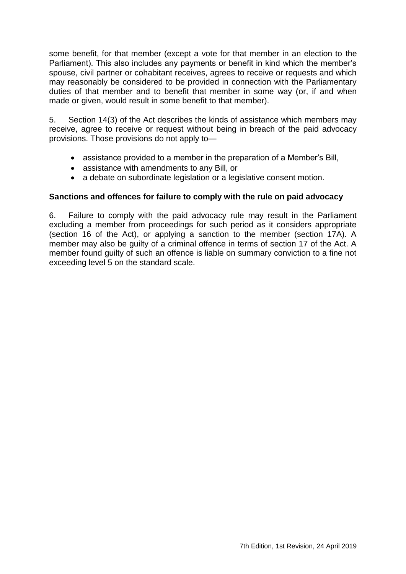some benefit, for that member (except a vote for that member in an election to the Parliament). This also includes any payments or benefit in kind which the member's spouse, civil partner or cohabitant receives, agrees to receive or requests and which may reasonably be considered to be provided in connection with the Parliamentary duties of that member and to benefit that member in some way (or, if and when made or given, would result in some benefit to that member).

5. Section 14(3) of the Act describes the kinds of assistance which members may receive, agree to receive or request without being in breach of the paid advocacy provisions. Those provisions do not apply to—

- assistance provided to a member in the preparation of a Member's Bill,
- assistance with amendments to any Bill, or
- a debate on subordinate legislation or a legislative consent motion.

## <span id="page-43-0"></span>**Sanctions and offences for failure to comply with the rule on paid advocacy**

6. Failure to comply with the paid advocacy rule may result in the Parliament excluding a member from proceedings for such period as it considers appropriate (section 16 of the Act), or applying a sanction to the member (section 17A). A member may also be guilty of a criminal offence in terms of section 17 of the Act. A member found guilty of such an offence is liable on summary conviction to a fine not exceeding level 5 on the standard scale.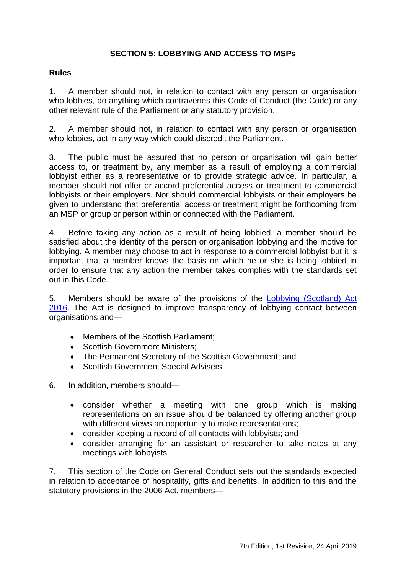# **SECTION 5: LOBBYING AND ACCESS TO MSPs**

# <span id="page-44-1"></span><span id="page-44-0"></span>**Rules**

1. A member should not, in relation to contact with any person or organisation who lobbies, do anything which contravenes this Code of Conduct (the Code) or any other relevant rule of the Parliament or any statutory provision.

2. A member should not, in relation to contact with any person or organisation who lobbies, act in any way which could discredit the Parliament.

3. The public must be assured that no person or organisation will gain better access to, or treatment by, any member as a result of employing a commercial lobbyist either as a representative or to provide strategic advice. In particular, a member should not offer or accord preferential access or treatment to commercial lobbyists or their employers. Nor should commercial lobbyists or their employers be given to understand that preferential access or treatment might be forthcoming from an MSP or group or person within or connected with the Parliament.

4. Before taking any action as a result of being lobbied, a member should be satisfied about the identity of the person or organisation lobbying and the motive for lobbying. A member may choose to act in response to a commercial lobbyist but it is important that a member knows the basis on which he or she is being lobbied in order to ensure that any action the member takes complies with the standards set out in this Code.

5. Members should be aware of the provisions of the [Lobbying \(Scotland\) Act](http://www.legislation.gov.uk/asp/2016/16/contents)  [2016.](http://www.legislation.gov.uk/asp/2016/16/contents) The Act is designed to improve transparency of lobbying contact between organisations and—

- Members of the Scottish Parliament;
- Scottish Government Ministers;
- The Permanent Secretary of the Scottish Government; and
- Scottish Government Special Advisers

6. In addition, members should—

- consider whether a meeting with one group which is making representations on an issue should be balanced by offering another group with different views an opportunity to make representations;
- consider keeping a record of all contacts with lobbyists; and
- consider arranging for an assistant or researcher to take notes at any meetings with lobbyists.

7. This section of the Code on General Conduct sets out the standards expected in relation to acceptance of hospitality, gifts and benefits. In addition to this and the statutory provisions in the 2006 Act, members—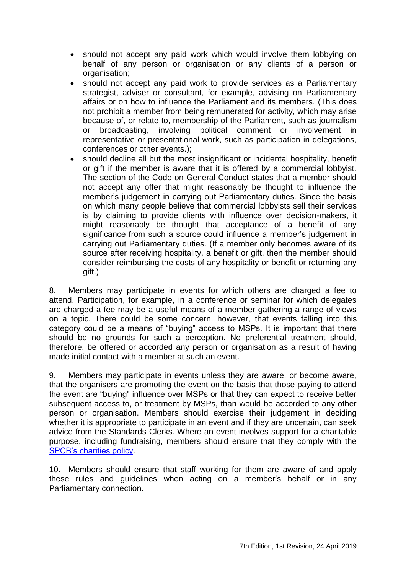- should not accept any paid work which would involve them lobbying on behalf of any person or organisation or any clients of a person or organisation:
- should not accept any paid work to provide services as a Parliamentary strategist, adviser or consultant, for example, advising on Parliamentary affairs or on how to influence the Parliament and its members. (This does not prohibit a member from being remunerated for activity, which may arise because of, or relate to, membership of the Parliament, such as journalism or broadcasting, involving political comment or involvement in representative or presentational work, such as participation in delegations, conferences or other events.);
- should decline all but the most insignificant or incidental hospitality, benefit or gift if the member is aware that it is offered by a commercial lobbyist. The section of the Code on General Conduct states that a member should not accept any offer that might reasonably be thought to influence the member's judgement in carrying out Parliamentary duties. Since the basis on which many people believe that commercial lobbyists sell their services is by claiming to provide clients with influence over decision-makers, it might reasonably be thought that acceptance of a benefit of any significance from such a source could influence a member's judgement in carrying out Parliamentary duties. (If a member only becomes aware of its source after receiving hospitality, a benefit or gift, then the member should consider reimbursing the costs of any hospitality or benefit or returning any gift.)

8. Members may participate in events for which others are charged a fee to attend. Participation, for example, in a conference or seminar for which delegates are charged a fee may be a useful means of a member gathering a range of views on a topic. There could be some concern, however, that events falling into this category could be a means of "buying" access to MSPs. It is important that there should be no grounds for such a perception. No preferential treatment should, therefore, be offered or accorded any person or organisation as a result of having made initial contact with a member at such an event.

9. Members may participate in events unless they are aware, or become aware, that the organisers are promoting the event on the basis that those paying to attend the event are "buying" influence over MSPs or that they can expect to receive better subsequent access to, or treatment by MSPs, than would be accorded to any other person or organisation. Members should exercise their judgement in deciding whether it is appropriate to participate in an event and if they are uncertain, can seek advice from the Standards Clerks. Where an event involves support for a charitable purpose, including fundraising, members should ensure that they comply with the [SPCB's charities policy.](http://www.scottish.parliament.uk/msps/53124.aspx)

10. Members should ensure that staff working for them are aware of and apply these rules and guidelines when acting on a member's behalf or in any Parliamentary connection.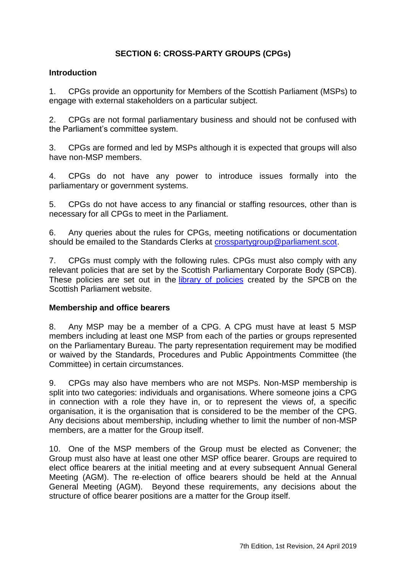# **SECTION 6: CROSS-PARTY GROUPS (CPGs)**

## <span id="page-46-1"></span><span id="page-46-0"></span>**Introduction**

1. CPGs provide an opportunity for Members of the Scottish Parliament (MSPs) to engage with external stakeholders on a particular subject.

2. CPGs are not formal parliamentary business and should not be confused with the Parliament's committee system.

3. CPGs are formed and led by MSPs although it is expected that groups will also have non-MSP members.

4. CPGs do not have any power to introduce issues formally into the parliamentary or government systems.

5. CPGs do not have access to any financial or staffing resources, other than is necessary for all CPGs to meet in the Parliament.

6. Any queries about the rules for CPGs, meeting notifications or documentation should be emailed to the Standards Clerks at [crosspartygroup@parliament.scot.](mailto:crosspartygroup@parliament.scot)

7. CPGs must comply with the following rules. CPGs must also comply with any relevant policies that are set by the Scottish Parliamentary Corporate Body (SPCB). These policies are set out in the [library of](http://www.scottish.parliament.uk/msps/53142.aspx) policies created by the SPCB on the Scottish Parliament website.

# <span id="page-46-2"></span>**Membership and office bearers**

8. Any MSP may be a member of a CPG. A CPG must have at least 5 MSP members including at least one MSP from each of the parties or groups represented on the Parliamentary Bureau. The party representation requirement may be modified or waived by the Standards, Procedures and Public Appointments Committee (the Committee) in certain circumstances.

9. CPGs may also have members who are not MSPs. Non-MSP membership is split into two categories: individuals and organisations. Where someone joins a CPG in connection with a role they have in, or to represent the views of, a specific organisation, it is the organisation that is considered to be the member of the CPG. Any decisions about membership, including whether to limit the number of non-MSP members, are a matter for the Group itself.

10. One of the MSP members of the Group must be elected as Convener; the Group must also have at least one other MSP office bearer. Groups are required to elect office bearers at the initial meeting and at every subsequent Annual General Meeting (AGM). The re-election of office bearers should be held at the Annual General Meeting (AGM). Beyond these requirements, any decisions about the structure of office bearer positions are a matter for the Group itself.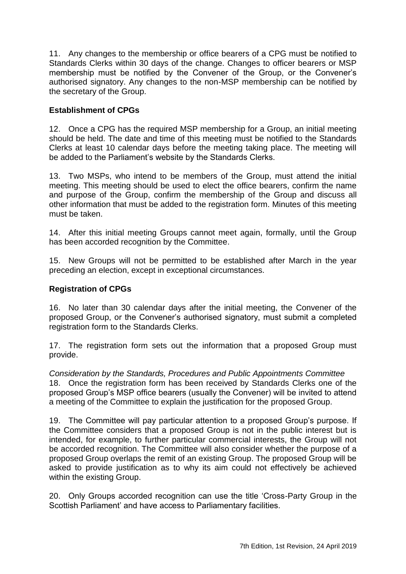11. Any changes to the membership or office bearers of a CPG must be notified to Standards Clerks within 30 days of the change. Changes to officer bearers or MSP membership must be notified by the Convener of the Group, or the Convener's authorised signatory. Any changes to the non-MSP membership can be notified by the secretary of the Group.

# <span id="page-47-0"></span>**Establishment of CPGs**

12. Once a CPG has the required MSP membership for a Group, an initial meeting should be held. The date and time of this meeting must be notified to the Standards Clerks at least 10 calendar days before the meeting taking place. The meeting will be added to the Parliament's website by the Standards Clerks.

13. Two MSPs, who intend to be members of the Group, must attend the initial meeting. This meeting should be used to elect the office bearers, confirm the name and purpose of the Group, confirm the membership of the Group and discuss all other information that must be added to the registration form. Minutes of this meeting must be taken.

14. After this initial meeting Groups cannot meet again, formally, until the Group has been accorded recognition by the Committee.

15. New Groups will not be permitted to be established after March in the year preceding an election, except in exceptional circumstances.

## <span id="page-47-1"></span>**Registration of CPGs**

16. No later than 30 calendar days after the initial meeting, the Convener of the proposed Group, or the Convener's authorised signatory, must submit a completed registration form to the Standards Clerks.

17. The registration form sets out the information that a proposed Group must provide.

*Consideration by the Standards, Procedures and Public Appointments Committee* 18. Once the registration form has been received by Standards Clerks one of the proposed Group's MSP office bearers (usually the Convener) will be invited to attend a meeting of the Committee to explain the justification for the proposed Group.

19. The Committee will pay particular attention to a proposed Group's purpose. If the Committee considers that a proposed Group is not in the public interest but is intended, for example, to further particular commercial interests, the Group will not be accorded recognition. The Committee will also consider whether the purpose of a proposed Group overlaps the remit of an existing Group. The proposed Group will be asked to provide justification as to why its aim could not effectively be achieved within the existing Group.

20. Only Groups accorded recognition can use the title 'Cross-Party Group in the Scottish Parliament' and have access to Parliamentary facilities.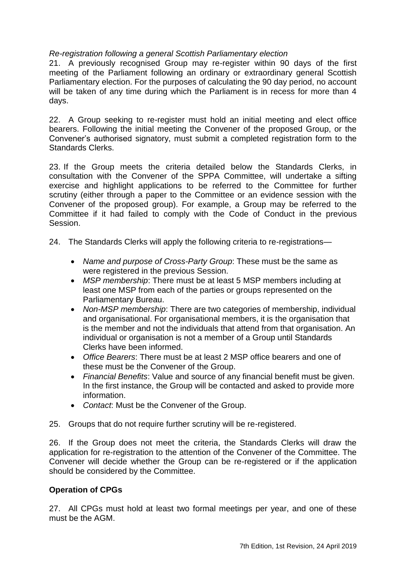# *Re-registration following a general Scottish Parliamentary election*

21. A previously recognised Group may re-register within 90 days of the first meeting of the Parliament following an ordinary or extraordinary general Scottish Parliamentary election. For the purposes of calculating the 90 day period, no account will be taken of any time during which the Parliament is in recess for more than 4 days.

22. A Group seeking to re-register must hold an initial meeting and elect office bearers. Following the initial meeting the Convener of the proposed Group, or the Convener's authorised signatory, must submit a completed registration form to the Standards Clerks.

23. If the Group meets the criteria detailed below the Standards Clerks, in consultation with the Convener of the SPPA Committee, will undertake a sifting exercise and highlight applications to be referred to the Committee for further scrutiny (either through a paper to the Committee or an evidence session with the Convener of the proposed group). For example, a Group may be referred to the Committee if it had failed to comply with the Code of Conduct in the previous Session.

24. The Standards Clerks will apply the following criteria to re-registrations—

- *Name and purpose of Cross-Party Group*: These must be the same as were registered in the previous Session.
- *MSP membership*: There must be at least 5 MSP members including at least one MSP from each of the parties or groups represented on the Parliamentary Bureau.
- *Non-MSP membership*: There are two categories of membership, individual and organisational. For organisational members, it is the organisation that is the member and not the individuals that attend from that organisation. An individual or organisation is not a member of a Group until Standards Clerks have been informed.
- *Office Bearers*: There must be at least 2 MSP office bearers and one of these must be the Convener of the Group.
- *Financial Benefits*: Value and source of any financial benefit must be given. In the first instance, the Group will be contacted and asked to provide more information.
- *Contact*: Must be the Convener of the Group.
- 25. Groups that do not require further scrutiny will be re-registered.

26. If the Group does not meet the criteria, the Standards Clerks will draw the application for re-registration to the attention of the Convener of the Committee. The Convener will decide whether the Group can be re-registered or if the application should be considered by the Committee.

## <span id="page-48-0"></span>**Operation of CPGs**

27. All CPGs must hold at least two formal meetings per year, and one of these must be the AGM.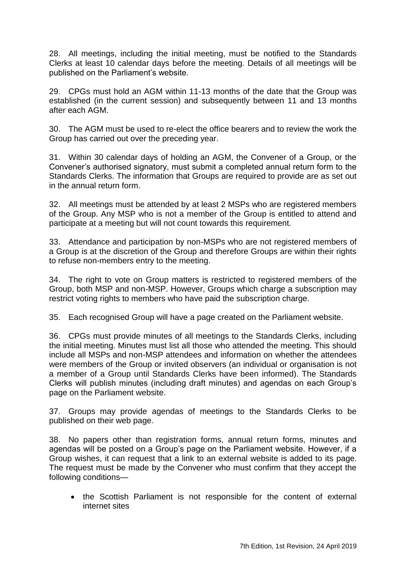28. All meetings, including the initial meeting, must be notified to the Standards Clerks at least 10 calendar days before the meeting. Details of all meetings will be published on the Parliament's website.

29. CPGs must hold an AGM within 11-13 months of the date that the Group was established (in the current session) and subsequently between 11 and 13 months after each AGM.

30. The AGM must be used to re-elect the office bearers and to review the work the Group has carried out over the preceding year.

31. Within 30 calendar days of holding an AGM, the Convener of a Group, or the Convener's authorised signatory, must submit a completed annual return form to the Standards Clerks. The information that Groups are required to provide are as set out in the annual return form.

32. All meetings must be attended by at least 2 MSPs who are registered members of the Group. Any MSP who is not a member of the Group is entitled to attend and participate at a meeting but will not count towards this requirement.

33. Attendance and participation by non-MSPs who are not registered members of a Group is at the discretion of the Group and therefore Groups are within their rights to refuse non-members entry to the meeting.

34. The right to vote on Group matters is restricted to registered members of the Group, both MSP and non-MSP. However, Groups which charge a subscription may restrict voting rights to members who have paid the subscription charge.

35. Each recognised Group will have a page created on the Parliament website.

36. CPGs must provide minutes of all meetings to the Standards Clerks, including the initial meeting. Minutes must list all those who attended the meeting. This should include all MSPs and non-MSP attendees and information on whether the attendees were members of the Group or invited observers (an individual or organisation is not a member of a Group until Standards Clerks have been informed). The Standards Clerks will publish minutes (including draft minutes) and agendas on each Group's page on the Parliament website.

37. Groups may provide agendas of meetings to the Standards Clerks to be published on their web page.

38. No papers other than registration forms, annual return forms, minutes and agendas will be posted on a Group's page on the Parliament website. However, if a Group wishes, it can request that a link to an external website is added to its page. The request must be made by the Convener who must confirm that they accept the following conditions—

• the Scottish Parliament is not responsible for the content of external internet sites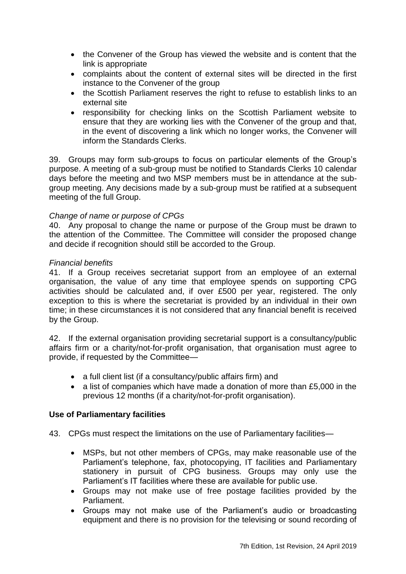- the Convener of the Group has viewed the website and is content that the link is appropriate
- complaints about the content of external sites will be directed in the first instance to the Convener of the group
- the Scottish Parliament reserves the right to refuse to establish links to an external site
- responsibility for checking links on the Scottish Parliament website to ensure that they are working lies with the Convener of the group and that, in the event of discovering a link which no longer works, the Convener will inform the Standards Clerks.

39. Groups may form sub-groups to focus on particular elements of the Group's purpose. A meeting of a sub-group must be notified to Standards Clerks 10 calendar days before the meeting and two MSP members must be in attendance at the subgroup meeting. Any decisions made by a sub-group must be ratified at a subsequent meeting of the full Group.

## *Change of name or purpose of CPGs*

40. Any proposal to change the name or purpose of the Group must be drawn to the attention of the Committee. The Committee will consider the proposed change and decide if recognition should still be accorded to the Group.

#### *Financial benefits*

41. If a Group receives secretariat support from an employee of an external organisation, the value of any time that employee spends on supporting CPG activities should be calculated and, if over £500 per year, registered. The only exception to this is where the secretariat is provided by an individual in their own time; in these circumstances it is not considered that any financial benefit is received by the Group.

42. If the external organisation providing secretarial support is a consultancy/public affairs firm or a charity/not-for-profit organisation, that organisation must agree to provide, if requested by the Committee—

- a full client list (if a consultancy/public affairs firm) and
- a list of companies which have made a donation of more than £5,000 in the previous 12 months (if a charity/not-for-profit organisation).

## <span id="page-50-0"></span>**Use of Parliamentary facilities**

43. CPGs must respect the limitations on the use of Parliamentary facilities—

- MSPs, but not other members of CPGs, may make reasonable use of the Parliament's telephone, fax, photocopying, IT facilities and Parliamentary stationery in pursuit of CPG business. Groups may only use the Parliament's IT facilities where these are available for public use.
- Groups may not make use of free postage facilities provided by the Parliament.
- Groups may not make use of the Parliament's audio or broadcasting equipment and there is no provision for the televising or sound recording of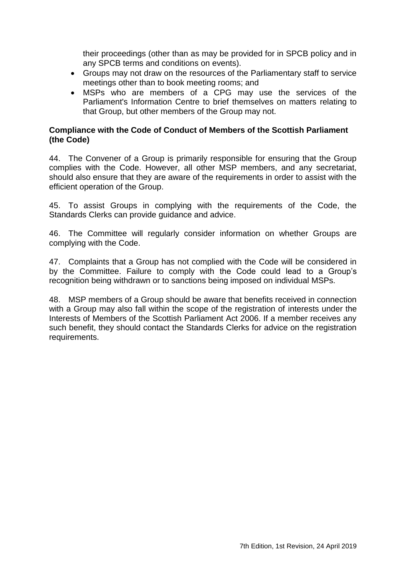their proceedings (other than as may be provided for in SPCB policy and in any SPCB terms and conditions on events).

- Groups may not draw on the resources of the Parliamentary staff to service meetings other than to book meeting rooms; and
- MSPs who are members of a CPG may use the services of the Parliament's Information Centre to brief themselves on matters relating to that Group, but other members of the Group may not.

# <span id="page-51-0"></span>**Compliance with the Code of Conduct of Members of the Scottish Parliament (the Code)**

44. The Convener of a Group is primarily responsible for ensuring that the Group complies with the Code. However, all other MSP members, and any secretariat, should also ensure that they are aware of the requirements in order to assist with the efficient operation of the Group.

45. To assist Groups in complying with the requirements of the Code, the Standards Clerks can provide guidance and advice.

46. The Committee will regularly consider information on whether Groups are complying with the Code.

47. Complaints that a Group has not complied with the Code will be considered in by the Committee. Failure to comply with the Code could lead to a Group's recognition being withdrawn or to sanctions being imposed on individual MSPs.

48. MSP members of a Group should be aware that benefits received in connection with a Group may also fall within the scope of the registration of interests under the Interests of Members of the Scottish Parliament Act 2006. If a member receives any such benefit, they should contact the Standards Clerks for advice on the registration requirements.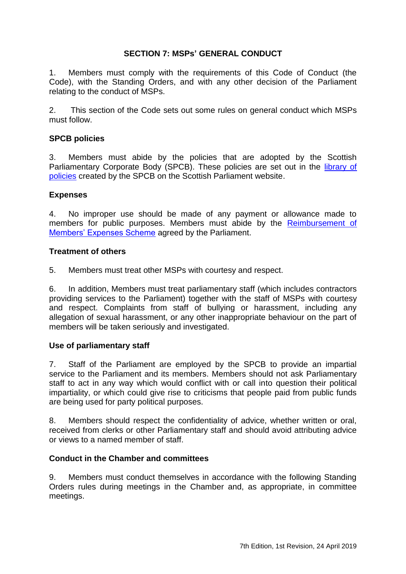# **SECTION 7: MSPs' GENERAL CONDUCT**

<span id="page-52-0"></span>1. Members must comply with the requirements of this Code of Conduct (the Code), with the Standing Orders, and with any other decision of the Parliament relating to the conduct of MSPs.

2. This section of the Code sets out some rules on general conduct which MSPs must follow.

## <span id="page-52-1"></span>**SPCB policies**

3. Members must abide by the policies that are adopted by the Scottish Parliamentary Corporate Body (SPCB). These policies are set out in the *library of* [policies](http://www.scottish.parliament.uk/msps/53142.aspx) created by the SPCB on the Scottish Parliament website.

#### <span id="page-52-2"></span>**Expenses**

4. No improper use should be made of any payment or allowance made to members for public purposes. Members must abide by the [Reimbursement of](http://www.parliament.scot/msps/12453.aspx)  [Members' Expenses Scheme](http://www.parliament.scot/msps/12453.aspx) agreed by the Parliament.

#### <span id="page-52-3"></span>**Treatment of others**

5. Members must treat other MSPs with courtesy and respect.

6. In addition, Members must treat parliamentary staff (which includes contractors providing services to the Parliament) together with the staff of MSPs with courtesy and respect. Complaints from staff of bullying or harassment, including any allegation of sexual harassment, or any other inappropriate behaviour on the part of members will be taken seriously and investigated.

## <span id="page-52-4"></span>**Use of parliamentary staff**

7. Staff of the Parliament are employed by the SPCB to provide an impartial service to the Parliament and its members. Members should not ask Parliamentary staff to act in any way which would conflict with or call into question their political impartiality, or which could give rise to criticisms that people paid from public funds are being used for party political purposes.

8. Members should respect the confidentiality of advice, whether written or oral, received from clerks or other Parliamentary staff and should avoid attributing advice or views to a named member of staff.

#### <span id="page-52-5"></span>**Conduct in the Chamber and committees**

9. Members must conduct themselves in accordance with the following Standing Orders rules during meetings in the Chamber and, as appropriate, in committee meetings.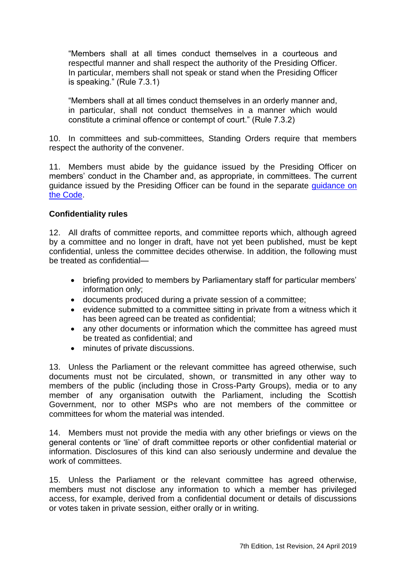―Members shall at all times conduct themselves in a courteous and respectful manner and shall respect the authority of the Presiding Officer. In particular, members shall not speak or stand when the Presiding Officer is speaking." (Rule 7.3.1)

―Members shall at all times conduct themselves in an orderly manner and, in particular, shall not conduct themselves in a manner which would constitute a criminal offence or contempt of court." (Rule 7.3.2)

10. In committees and sub-committees, Standing Orders require that members respect the authority of the convener.

11. Members must abide by the guidance issued by the Presiding Officer on members' conduct in the Chamber and, as appropriate, in committees. The current guidance issued by the Presiding Officer can be found in the separate [guidance on](http://www.parliament.scot/Parliamentaryprocedureandguidance/CCEd07201708.pdf)  [the Code.](http://www.parliament.scot/Parliamentaryprocedureandguidance/CCEd07201708.pdf)

## <span id="page-53-0"></span>**Confidentiality rules**

12. All drafts of committee reports, and committee reports which, although agreed by a committee and no longer in draft, have not yet been published, must be kept confidential, unless the committee decides otherwise. In addition, the following must be treated as confidential—

- briefing provided to members by Parliamentary staff for particular members' information only;
- documents produced during a private session of a committee;
- evidence submitted to a committee sitting in private from a witness which it has been agreed can be treated as confidential;
- any other documents or information which the committee has agreed must be treated as confidential; and
- minutes of private discussions.

13. Unless the Parliament or the relevant committee has agreed otherwise, such documents must not be circulated, shown, or transmitted in any other way to members of the public (including those in Cross-Party Groups), media or to any member of any organisation outwith the Parliament, including the Scottish Government, nor to other MSPs who are not members of the committee or committees for whom the material was intended.

14. Members must not provide the media with any other briefings or views on the general contents or 'line' of draft committee reports or other confidential material or information. Disclosures of this kind can also seriously undermine and devalue the work of committees.

15. Unless the Parliament or the relevant committee has agreed otherwise, members must not disclose any information to which a member has privileged access, for example, derived from a confidential document or details of discussions or votes taken in private session, either orally or in writing.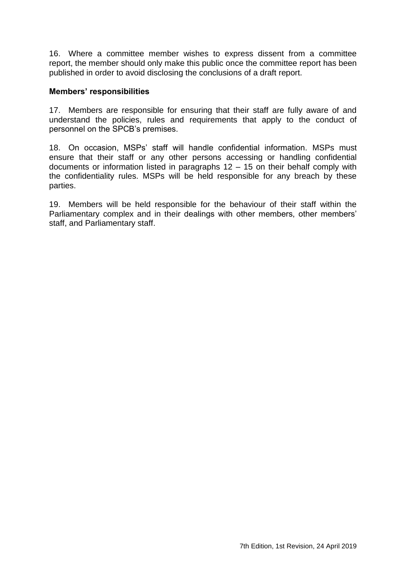16. Where a committee member wishes to express dissent from a committee report, the member should only make this public once the committee report has been published in order to avoid disclosing the conclusions of a draft report.

## <span id="page-54-0"></span>**Members' responsibilities**

17. Members are responsible for ensuring that their staff are fully aware of and understand the policies, rules and requirements that apply to the conduct of personnel on the SPCB's premises.

18. On occasion, MSPs' staff will handle confidential information. MSPs must ensure that their staff or any other persons accessing or handling confidential documents or information listed in paragraphs 12 – 15 on their behalf comply with the confidentiality rules. MSPs will be held responsible for any breach by these parties.

19. Members will be held responsible for the behaviour of their staff within the Parliamentary complex and in their dealings with other members, other members' staff, and Parliamentary staff.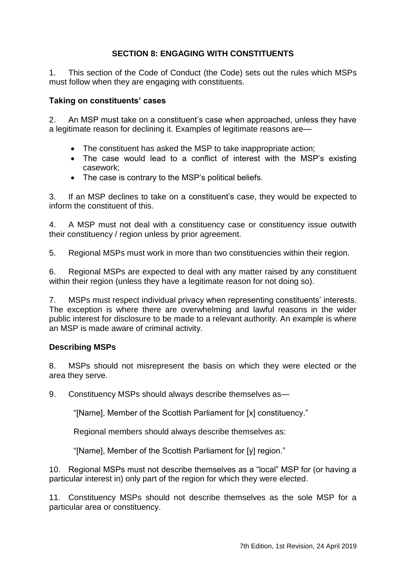# **SECTION 8: ENGAGING WITH CONSTITUENTS**

<span id="page-56-0"></span>1. This section of the Code of Conduct (the Code) sets out the rules which MSPs must follow when they are engaging with constituents.

# <span id="page-56-1"></span>**Taking on constituents' cases**

2. An MSP must take on a constituent's case when approached, unless they have a legitimate reason for declining it. Examples of legitimate reasons are—

- The constituent has asked the MSP to take inappropriate action;
- The case would lead to a conflict of interest with the MSP's existing casework;
- The case is contrary to the MSP's political beliefs.

3. If an MSP declines to take on a constituent's case, they would be expected to inform the constituent of this.

4. A MSP must not deal with a constituency case or constituency issue outwith their constituency / region unless by prior agreement.

5. Regional MSPs must work in more than two constituencies within their region.

6. Regional MSPs are expected to deal with any matter raised by any constituent within their region (unless they have a legitimate reason for not doing so).

7. MSPs must respect individual privacy when representing constituents' interests. The exception is where there are overwhelming and lawful reasons in the wider public interest for disclosure to be made to a relevant authority. An example is where an MSP is made aware of criminal activity.

## <span id="page-56-2"></span>**Describing MSPs**

8. MSPs should not misrepresent the basis on which they were elected or the area they serve.

9. Constituency MSPs should always describe themselves as—

"[Name], Member of the Scottish Parliament for [x] constituency."

Regional members should always describe themselves as:

"[Name], Member of the Scottish Parliament for [y] region."

10. Regional MSPs must not describe themselves as a "local" MSP for (or having a particular interest in) only part of the region for which they were elected.

11. Constituency MSPs should not describe themselves as the sole MSP for a particular area or constituency.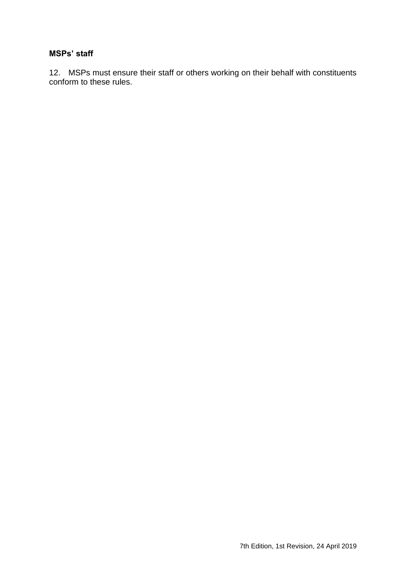#### <span id="page-57-0"></span>**MSPs' staff**

12. MSPs must ensure their staff or others working on their behalf with constituents conform to these rules.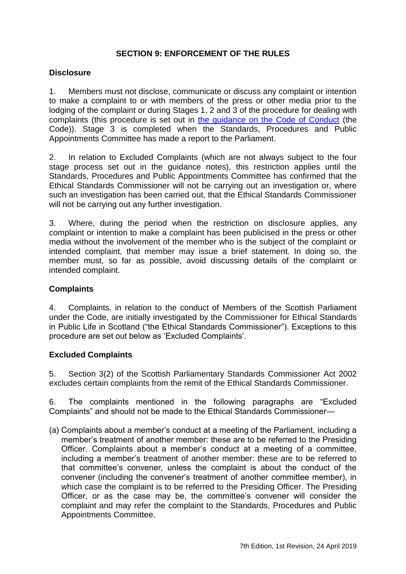# **SECTION 9: ENFORCEMENT OF THE RULES**

#### <span id="page-58-1"></span><span id="page-58-0"></span>**Disclosure**

1. Members must not disclose, communicate or discuss any complaint or intention to make a complaint to or with members of the press or other media prior to the lodging of the complaint or during Stages 1, 2 and 3 of the procedure for dealing with complaints (this procedure is set out in [the guidance on the Code of Conduct](http://www.parliament.scot/Parliamentaryprocedureandguidance/CCEd07201708.pdf) (the Code)). Stage 3 is completed when the Standards, Procedures and Public Appointments Committee has made a report to the Parliament.

2. In relation to Excluded Complaints (which are not always subject to the four stage process set out in the guidance notes), this restriction applies until the Standards, Procedures and Public Appointments Committee has confirmed that the Ethical Standards Commissioner will not be carrying out an investigation or, where such an investigation has been carried out, that the Ethical Standards Commissioner will not be carrying out any further investigation.

3. Where, during the period when the restriction on disclosure applies, any complaint or intention to make a complaint has been publicised in the press or other media without the involvement of the member who is the subject of the complaint or intended complaint, that member may issue a brief statement. In doing so, the member must, so far as possible, avoid discussing details of the complaint or intended complaint.

## <span id="page-58-2"></span>**Complaints**

4. Complaints, in relation to the conduct of Members of the Scottish Parliament under the Code, are initially investigated by the Commissioner for Ethical Standards in Public Life in Scotland ("the Ethical Standards Commissioner"). Exceptions to this procedure are set out below as 'Excluded Complaints'.

## <span id="page-58-3"></span>**Excluded Complaints**

5. Section 3(2) of the Scottish Parliamentary Standards Commissioner Act 2002 excludes certain complaints from the remit of the Ethical Standards Commissioner.

6. The complaints mentioned in the following paragraphs are "Excluded Complaints" and should not be made to the Ethical Standards Commissioner-

(a) Complaints about a member's conduct at a meeting of the Parliament, including a member's treatment of another member: these are to be referred to the Presiding Officer. Complaints about a member's conduct at a meeting of a committee, including a member's treatment of another member: these are to be referred to that committee's convener, unless the complaint is about the conduct of the convener (including the convener's treatment of another committee member), in which case the complaint is to be referred to the Presiding Officer. The Presiding Officer, or as the case may be, the committee's convener will consider the complaint and may refer the complaint to the Standards, Procedures and Public Appointments Committee.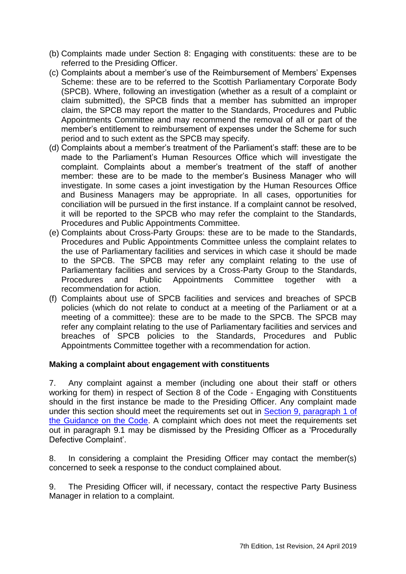- (b) Complaints made under Section 8: Engaging with constituents: these are to be referred to the Presiding Officer.
- (c) Complaints about a member's use of the Reimbursement of Members' Expenses Scheme: these are to be referred to the Scottish Parliamentary Corporate Body (SPCB). Where, following an investigation (whether as a result of a complaint or claim submitted), the SPCB finds that a member has submitted an improper claim, the SPCB may report the matter to the Standards, Procedures and Public Appointments Committee and may recommend the removal of all or part of the member's entitlement to reimbursement of expenses under the Scheme for such period and to such extent as the SPCB may specify.
- (d) Complaints about a member's treatment of the Parliament's staff: these are to be made to the Parliament's Human Resources Office which will investigate the complaint. Complaints about a member's treatment of the staff of another member: these are to be made to the member's Business Manager who will investigate. In some cases a joint investigation by the Human Resources Office and Business Managers may be appropriate. In all cases, opportunities for conciliation will be pursued in the first instance. If a complaint cannot be resolved, it will be reported to the SPCB who may refer the complaint to the Standards, Procedures and Public Appointments Committee.
- (e) Complaints about Cross-Party Groups: these are to be made to the Standards, Procedures and Public Appointments Committee unless the complaint relates to the use of Parliamentary facilities and services in which case it should be made to the SPCB. The SPCB may refer any complaint relating to the use of Parliamentary facilities and services by a Cross-Party Group to the Standards, Procedures and Public Appointments Committee together with a recommendation for action.
- (f) Complaints about use of SPCB facilities and services and breaches of SPCB policies (which do not relate to conduct at a meeting of the Parliament or at a meeting of a committee): these are to be made to the SPCB. The SPCB may refer any complaint relating to the use of Parliamentary facilities and services and breaches of SPCB policies to the Standards, Procedures and Public Appointments Committee together with a recommendation for action.

## <span id="page-59-0"></span>**Making a complaint about engagement with constituents**

7. Any complaint against a member (including one about their staff or others working for them) in respect of Section 8 of the Code - Engaging with Constituents should in the first instance be made to the Presiding Officer. Any complaint made under this section should meet the requirements set out in [Section 9, paragraph 1 of](http://www.parliament.scot/Parliamentaryprocedureandguidance/CCEd07201708.pdf)  [the Guidance on the Code.](http://www.parliament.scot/Parliamentaryprocedureandguidance/CCEd07201708.pdf) A complaint which does not meet the requirements set out in paragraph 9.1 may be dismissed by the Presiding Officer as a 'Procedurally Defective Complaint'.

8. In considering a complaint the Presiding Officer may contact the member(s) concerned to seek a response to the conduct complained about.

9. The Presiding Officer will, if necessary, contact the respective Party Business Manager in relation to a complaint.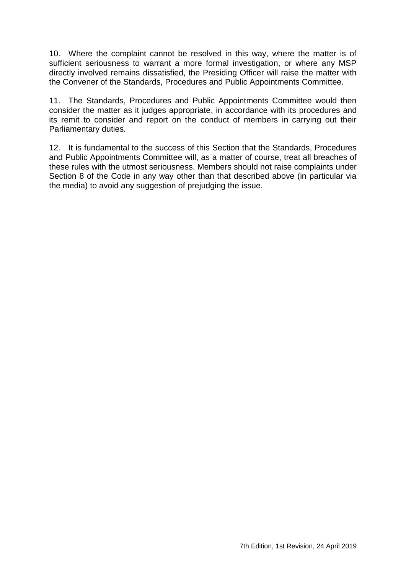10. Where the complaint cannot be resolved in this way, where the matter is of sufficient seriousness to warrant a more formal investigation, or where any MSP directly involved remains dissatisfied, the Presiding Officer will raise the matter with the Convener of the Standards, Procedures and Public Appointments Committee.

11. The Standards, Procedures and Public Appointments Committee would then consider the matter as it judges appropriate, in accordance with its procedures and its remit to consider and report on the conduct of members in carrying out their Parliamentary duties.

12. It is fundamental to the success of this Section that the Standards, Procedures and Public Appointments Committee will, as a matter of course, treat all breaches of these rules with the utmost seriousness. Members should not raise complaints under Section 8 of the Code in any way other than that described above (in particular via the media) to avoid any suggestion of prejudging the issue.